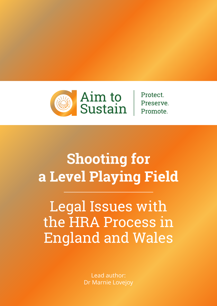

**Protect** Preserve. Promote.

# **Shooting for a Level Playing Field**

Legal Issues with the HRA Process in England and Wales

> Lead author: Dr Marnie Lovejoy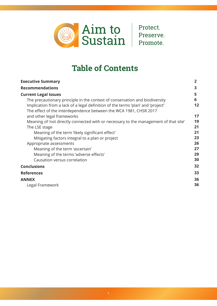

Protect. Preserve. Promote.

# **Table of Contents**

| <b>Executive Summary</b>                                                             | $\overline{2}$ |
|--------------------------------------------------------------------------------------|----------------|
| <b>Recommendations</b>                                                               | 3              |
| <b>Current Legal Issues</b>                                                          | 5              |
| The precautionary principle in the context of conservation and biodiversity          | 6              |
| Implication from a lack of a legal definition of the terms 'plan' and 'project'      | 12             |
| The effect of the interdependence between the WCA 1981, CHSR 2017                    |                |
| and other legal frameworks                                                           | 17             |
| Meaning of 'not directly connected with or necessary to the management of that site' | 19             |
| The LSE stage                                                                        | 21             |
| Meaning of the term 'likely significant effect'                                      | 21             |
| Mitigating factors integral to a plan or project                                     | 23             |
| Appropriate assessments                                                              | 26             |
| Meaning of the term 'ascertain'                                                      | 27             |
| Meaning of the terms 'adverse effects'                                               | 29             |
| Causation versus correlation                                                         | 30             |
| <b>Conclusions</b>                                                                   | 32             |
| <b>References</b>                                                                    | 33             |
| <b>ANNEX</b>                                                                         | 36             |
| Legal Framework                                                                      | 36             |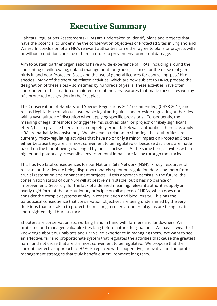# **Executive Summary**

Habitats Regulations Assessments (HRA) are undertaken to identify plans and projects that have the potential to undermine the conservation objectives of Protected Sites in England and Wales. In conclusion of an HRA, relevant authorities can either agree to plans or projects with or without conditions or refuse them in order to prevent environmental damage.

Aim to Sustain partner organisations have a wide experience of HRAs, including around the consenting of wildfowling, upland management for grouse, licences for the release of game birds in and near Protected Sites, and the use of general licences for controlling 'pest' bird species. Many of the shooting related activities, which are now subject to HRAs, predate the designation of these sites – sometimes by hundreds of years. These activities have often contributed to the creation or maintenance of the very features that made these sites worthy of a protected designation in the first place.

The Conservation of Habitats and Species Regulations 2017 (as amended) (CHSR 2017) and related legislation contain unsustainable legal ambiguities and provide regulating authorities with a vast latitude of discretion when applying specific provisions. Consequently, the meaning of legal thresholds or trigger terms, such as 'plan' or 'project' or 'likely significant effect', has in practice been almost completely eroded. Relevant authorities, therefore, apply HRAs remarkably inconsistently. We observe in relation to shooting, that authorities are currently micro-regulating activities that have no or only a minor impact on Protected Sites – either because they are the most convenient to be regulated or because decisions are made based on the fear of being challenged by judicial activists. At the same time, activities with a higher and potentially irreversible environmental impact are falling through the cracks.

This has two fatal consequences for our National Site Network (NSN). Firstly, resources of relevant authorities are being disproportionately spent on regulation depriving them from crucial restoration and enhancement projects. If this approach persists in the future, the conservation status of our NSN will at best remain stable, but it has no chance of improvement. Secondly, for the lack of a defined meaning, relevant authorities apply an overly rigid form of the precautionary principle on all aspects of HRAs, which does not consider the complex systems at play in conservation and biodiversity. This has the paradoxical consequence that conservation objectives are being undermined by the very decisions that are taken to protect them. Long term environmental gains are being lost in short-sighted, rigid bureaucracy.

Shooters are conservationists, working hand in hand with farmers and landowners. We protected and managed valuable sites long before nature designations. We have a wealth of knowledge about our habitats and unrivalled experience in managing them. We want to see an effective, fair and proportionate system that regulates the activities that cause the greatest harm and not those that are the most convenient to be regulated. We propose that the current ineffective approach to HRAs is replaced with cooperative, innovative and adaptable management strategies that truly benefit our environment long term.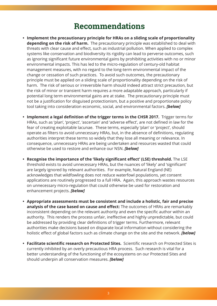### **Recommendations**

- **Implement the precautionary principle for HRAs on a sliding scale of proportionality depending on the risk of harm.** The precautionary principle was established to deal with threats with clear cause and effect, such as industrial pollution. When applied to complex systems like conservation and biodiversity its rigidity can lead to perverse outcomes, such as ignoring significant future environmental gains by prohibiting activities with no or minor environmental impacts. This has led to the micro-regulation of century-old habitat management measures, with no regard to the long-term environmental impact of the change or cessation of such practices. To avoid such outcomes, the precautionary principle must be applied on a sliding scale of proportionality depending on the risk of harm. The risk of serious or irreversible harm should indeed attract strict precaution, but the risk of minor or transient harm requires a more adaptable approach, particularly if potential long term environmental gains are at stake. The precautionary principle must not be a justification for disguised protectionism, but a positive and proportionate policy tool taking into consideration economic, social, and environmental factors. *[below]*
- **Implement a legal definition of the trigger terms in the CHSR 2017.** Trigger terms for HRAs, such as 'plan', 'project', 'ascertain' and 'adverse effect', are not define[d in law f](#page-6-0)or the fear of creating exploitable lacunae. These terms, especially 'plan' or 'project', should operate as filters to avoid unnecessary HRAs, but, in the absence of definitions, regulating authorities interpret these terms so widely that they lose all meaning or relevance. In consequence, unnecessary HRAs are being undertaken and resources wasted that could otherwise be used to restore and enhance our NSN. *[below]*
- **Recognise the importance of the 'likely significant effect' (LSE) threshold.** The LSE threshold exists to avoid unnecessary HRAs, but the [nuances](#page-12-0) of 'likely' and 'significant' are largely ignored by relevant authorities. For example, Natural England (NE) acknowledges that wildfowling does not reduce waterfowl populations, yet consent applications are routinely progressed to a full HRA. Again, this approach wastes resources on unnecessary micro-regulation that could otherwise be used for restoration and enhancement projects. *[below]*
- **Appropriate assessments must be consistent and include a holistic, fair and precise analysis of the case b[ased on](#page-21-0) cause and effect:** The outcomes of HRAs are remarkably inconsistent depending on the relevant authority and even the specific author within an authority. This renders the process unfair, ineffective and highly unpredictable, but could be addressed by providing clear definitions of trigger terms. Furthermore, relevant authorities make decisions based on disparate local information without considering the holistic effect of global factors such as climate change on the site and the network. *[below]*
- **Facilitate scientific research on Protected Sites.** Scientific research on Protected Sites is currently inhibited by an overly precautious HRA process. Such research is vital fo[r a](#page-26-0)  better understanding of the functioning of the ecosystems on our Protected Sites and should underpin all conservation measures. *[below]*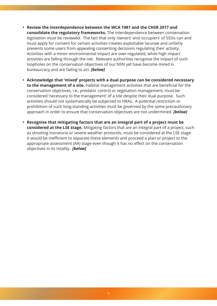- **Review the interdependence between the WCA 1981 and the CHSR 2017 and consolidate the regulatory frameworks.** The interdependence between conservation legislation must be reviewed. The fact that only 'owners' and 'occupiers' of SSSIs can and must apply for consent for certain activities creates exploitable lacunae and unfairly prevents some users from appealing consenting decisions regulating their activity. Activities with a minor environmental impact are over-regulated, while high impact activities are falling through the net. Relevant authorities recognise the impact of such loopholes on the conservation objectives of our NSN yet have become mired in bureaucracy and are failing to act. *[below]*
- **Acknowledge that 'mixed' projects with a dual purpose can be considered necessary to the management of a site.** H[abitat ma](#page-17-0)nagement activities that are beneficial for the conservation objectives, i.e., predator control or vegetation management, must be considered 'necessary to the management' of a site despite their dual purpose. Such activities should not systematically be subjected to HRAs. A potential restriction or prohibition of such long-standing activities must be governed by the same precautionary approach in order to ensure that conservation objectives are not undermined. *[below]*
- **Recognise that mitigating factors that are an integral part of a project must be considered at the LSE stage.** Mitigating factors that are an integral part of a p[roject, su](#page-19-0)ch as shooting moratoria or severe weather protocols, must be considered at the LSE stage. It would be inefficient to separate these elements and proceed a plan or project to the appropriate assessment (AA) stage even though it has no effect on the conservation objectives in its totality. *[below]*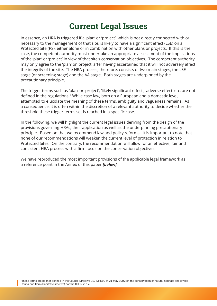## **Current Legal Issues**

In essence, an HRA is triggered if a 'plan' or 'project', which is not directly connected with or necessary to the management of that site, is likely to have a significant effect (LSE) on a Protected Site (PS), either alone or in combination with other plans or projects. If this is the case, the competent authority must undertake an appropriate assessment of the implications of the 'plan' or 'project' in view of that site's conservation objectives. The competent authority may only agree to the 'plan' or 'project' after having ascertained that it will not adversely affect the integrity of the site. The HRA process, therefore, consists of two main stages, the LSE stage (or screening stage) and the AA stage. Both stages are underpinned by the precautionary principle.

The trigger terms such as 'plan' or 'project', 'likely significant effect', 'adverse effect' etc. are not defined in the regulations.<sup>1</sup> While case law, both on a European and a domestic level, attempted to elucidate the meaning of these terms, ambiguity and vagueness remains. As a consequence, it is often within the discretion of a relevant authority to decide whether the threshold these trigger terms set is reached in a specific case.

In the following, we will highlight the current legal issues deriving from the design of the provisions governing HRAs, their application as well as the underpinning precautionary principle. Based on that we recommend law and policy reforms. It is important to note that none of our recommendations will weaken the current level of protection in relation to Protected Sites. On the contrary, the recommendation will allow for an effective, fair and consistent HRA process with a firm focus on the conservation objectives.

We have reproduced the most important provisions of the applicable legal framework as a reference point in the Annex of this paper *[below].*

1These terms are neither defined in the Council Directive 92/43/EEC of 21 May 1992 on the conservation of natural habitats and of wild fauna and flora (Habitats Directive) nor the CHSR 2017.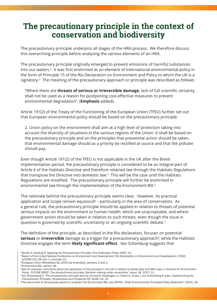### <span id="page-6-0"></span>**The precautionary principle in the context of conservation and biodiversity**

The precautionary principle underpins all stages of the HRA process. We therefore discuss this overarching principle before analysing the various elements of an HRA.

The precautionary principle originally emerged to prevent emissions of harmful substances into our waters.2 It was first enshrined as an element of international environmental policy in the form of Principle 15 of the Rio Declaration on Environment and Policy to which the UK is a signatory.<sup>3</sup> The meaning of the precautionary approach or principle was described as follows:

"Where there are **threats of serious or irreversible damage**, lack of full scientific certainty shall not be used as a reason for postponing cost-effective measures to prevent environmental degradation". (**Emphasis** added).

Article 191(2) of the Treaty of the Functioning of the European Union (TFEU) further set out that European environmental policy should be based on the precautionary principle:

2. Union policy on the environment shall aim at a high level of protection taking into account the diversity of situations in the various regions of the Union. It shall be based on the precautionary principle and on the principles that preventive action should be taken, that environmental damage should as a priority be rectified at source and that the polluter should pay.

Even though Article 191(2) of the TFEU is not applicable in the UK after the Brexit implementation period, the precautionary principle is considered to be an integral part of Article 6 of the Habitats Directive and therefore retained law through the Habitats Regulations that transpose the Directive into domestic law.4 This will be the case until the Habitats Regulations are modified. The precautionary principle will further be enshrined in environmental law through the implementation of the Environment Bill.<sup>5</sup>

The rationale behind the precautionary principle seems clear. However, its practical application and scope remain equivocal<sup> $6$ </sup> – particularly in the area of conservation. As a general rule, the precautionary principle should be applied in relation to threats of potential serious impacts on the environment or human health, which are unacceptable, and where government action should be taken in relation to such threats, even though the issue in question is governed by scientific uncertainty or an ongoing scientific debate.<sup>7</sup>

The definition of the principle, as described in the Rio declaration, focuses on potential **serious** or **irreversible** damage as a trigger for a precautionary approach<sup>8</sup>, while the Habitats Directive engages the term **likely significant effect**. *Von Schomburg* suggests that

5Environment Bill, section 18.

<sup>2</sup>Deville A ,Harding R, Applying the Precautionary Principle (The Federation Press 1997) 14.

<sup>3</sup>Report of the United Nations Conference on Environment and Development, Rio Declaration on Environment and Development (1992) A/CONF.151/26 (Vol. I), principle 15.

<sup>4</sup>European Union Withdrawal Act 2018 (as amended), sections 2 and 3.

<sup>6</sup>See for example, comments about the application of the principle in the UK in relation to sheep dips and GM crops, in Science for Environment Policy, 'FUTURE BRIEF: The precautionary principle: Decision making under uncertainty' (issue 18, 2017) 11.

<sup>7</sup>Von Schomberg R, 'The precautionary principle and its normative challenges' in: Fisher E, Jones J, von Schomberg R (eds), *Implementing the Precautionary Principle, Perspectives and Prospects* (EE 2006) 19, 23.

<sup>8</sup>The same level of seriousness seems to underpin the Environment Bill, see DEFRA, 'Draft Environmental Principles Policy Statement' (2021) 18.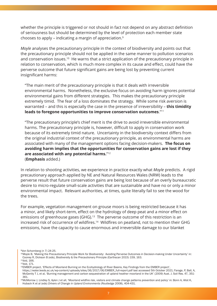whether the principle is triggered or not should in fact not depend on any abstract definition of seriousness but should be determined by the level of protection each member state chooses to apply – indicating a margin of appreciation.9

*Moyle* analyses the precautionary principle in the context of biodiversity and points out that the precautionary principle should not be applied in the same manner to pollution scenarios and conservation issues.<sup>10</sup> He warns that a strict application of the precautionary principle in relation to conservation, which is much more complex in its cause and effect, could have the perverse outcome that future significant gains are being lost by preventing current insignificant harms:

"The main merit of the precautionary principle is that it deals with irreversible environmental harms. Nonetheless, the exclusive focus on avoiding harm ignores potential environmental gains from different strategies. This makes the precautionary principle extremely timid. The fear of a loss dominates the strategy. While some risk aversion is warranted – and this is especially the case in the presence of irreversibility – **this timidity leads to foregone opportunities to improve conservation outcomes**."11

"The precautionary principle's chief merit is the drive to avoid irreversible environmental harms. The precautionary principle is, however, difficult to apply in conservation work because of its extremely timid nature. Uncertainty in the biodiversity context differs from the original industrial context of the precautionary principle, as environmental harms are associated with many of the management options facing decision-makers. **The focus on avoiding harm implies that the opportunities for conservation gains are lost if they are associated with any potential harms.**"12 (**Emphasis** added.)

In relation to shooting activities, we experience in practice exactly what *Moyle* predicts. A rigid precautionary approach applied by NE and Natural Resources Wales (NRW) leads to the perverse result that future conservation gains are being lost because of an overly bureaucratic desire to micro-regulate small-scale activities that are sustainable and have no or only a minor environmental impact. Relevant authorities, at times, quite literally fail to see the wood for the trees.

For example, vegetation management on grouse moors is being restricted because it has a minor, and likely short-term, effect on the hydrology of deep peat and a minor effect on emissions of greenhouse gases (GHG).<sup>13</sup> The perverse outcome of this restriction is an increased risk of occurrence of wildfires.14 Wildfires on peatland, not to mention their GHG emissions, have the capacity to cause enormous and irreversible damage to our blanket

9Von Schomberg (n 7) 24-25.

13EMBER project, 'Effects of Moorland Burning on the Ecohydrology of River Basins, Key Findings from the EMBER project',

https://water.leeds.ac.uk/wp-content/uploads/sites/36/2017/06/EMBER\_full-report.pdf last accessed 5th October 2021; Farage, P, Ball, A, McGenity T J, et al, 'Burning management and carbon sequestration of upland heather moorland in the UK' (2009) Aust. J. Soil Res. 47, 351- 361.

14McMorrow J, Lindley S, Aylen J et all, 'Moorland wildfire risk, visitors and climate change patterns prevention and policy' in: Bonn A, Allot K, Huback K et al (eds) *Drivers of Change in Upland Environments* (Routledge 2008), 404-431.

<sup>10</sup>Moyle B, 'Making the Precautionary Principle Work for Biodiversity: Avoiding Perverse Outcomes in Decision-making Under Uncertainty' in: Cooney R, Dickson B (eds), Biodiversity & the Precautionary Principle (Earthscan 2015) 159, 163. 11ibid, 166.

<sup>12</sup>ibid, 171.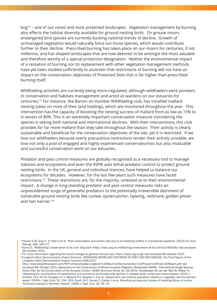bog15 – one of our rarest and most protected landscapes. Vegetation management by burning also effects the habitat diversity available for ground nesting birds. On grouse moors endangered bird species are currently bucking national trends of decline. Growth of unmanaged vegetation would naturally force out those species, which would contribute further to their decline. Prescribed burning has taken place on our moors for centuries, if not millennia, and has shaped landscapes that are now deemed to be amongst the most valuable and therefore worthy of a special protection designation. Neither the environmental impact of a cessation of burning nor its replacement with other vegetation management methods have yet been studied sufficiently to ascertain that restrictions of burning will not have an impact on the conservation objectives of Protected Sites that is far higher than prescribed burning itself.

Wildfowling activities are currently being micro-regulated, although wildfowlers were pioneers in conservation and habitats management and acted as wardens on our estuaries for centuries.16 For instance, the Barton on Humber Wildfowling club, has installed mallard nesting tubes on most of their land holdings, which are monitored throughout the year. This intervention has the capacity of boosting the nesting success of mallard from as low as 15% to in excess of 80%. This is an extremely important conservation measure considering the species is seeing both national and international declines. With their interventions, this club provides for far more mallard than they take throughout the season. Their activity is clearly sustainable and beneficial for the conservation objectives of the site, yet it is restricted. If we lose our wildfowlers because overly precautious restrictions render their activity unviable, we lose not only a pool of engaged and highly experienced conservationists but also invaluable and successful conservation work on our estuaries.

Predator and pest control measures are globally recognised as a necessary tool to manage habitats and ecosystems and even the RSPB uses lethal predator control to protect ground nesting birds. In the UK, general and individual licences, have helped us balance our ecosystems for decades. However, for the last few years such measures have faced restrictions.17 These restrictions are, for the majority, untested as to their environmental impact. A change in long-standing predator and pest control measures risks an unprecedented surge of generalist predators to the potentially irreversible detriment of vulnerable ground nesting birds like curlew, oystercatcher, lapwing, redshank, golden plover and hen harrier.18

<sup>15</sup>Davies G M, Grey A, N, Rein G et al, 'Peat consumption and carbon loss due to smouldering wildfire in a temperate peatland' (2013) For. Ecol. Manag. 308, 169-177.

<sup>16</sup>Jones G, 'Wildfowling: conservation at its core' blog post: https://basc.org.uk/wildfowling-conservation-at-its-core%e2%80%8b/ last accessed 9th October 2021.

<sup>&</sup>lt;sup>17</sup>For more information regarding the recent changes to general licences see: https://basc.org.uk/gl/ last accessed 9th October 2021.<br><sup>18</sup>Langholm Moor Demonstration Project Partners, 'MANAGING MOORLAND FOR BIRDS OF PREY Langholm Moor Demonstration Project Partners 2008-2017'

http://www.langholmproject.com/PDF%20downloads/La[ngholm%20Moor%20Demonstration%20Project%20Final%20Report.p](https://basc.org.uk/wildfowling-conservation-at-its-core%e2%80%8b/)df, last accessed 9th October 2021; Agreement on the Conservation of African-Eurasian Migratory Waterbirds (AEWA), 'International Single Species Action Plan for the Conservation of the Eurasian Curlew' (AEWA Technical S[eries No. 58 2015\); Rood](https://basc.org.uk/gl/)bergen M, van der Werf B, Hötker H, 'Revealing the contributions of reproduction and survival to the Europe-wide decline in meadow birds: review and meta-analysis' (2012) J. Ornithol 153, 53-74; Douglas, D J T, Bellamy P E, Stephen L S et al, 'Upland land use predicts population decline in a globally near-threatened [wader' \(2004\) J. Appl. Ecol. 51, 194–203; Grant, M C, Osman C, Easton J et al, 'Breeding success and causes of breeding failure o](http://www.langholmproject.com/PDF%20downloads/Langholm%20Moor%20Demonstration%20Project%20Final%20Report.pdf)f curlew Numenius arquata in Northern Ireland' (1999) J. Appl. Ecol. 36, 59–74.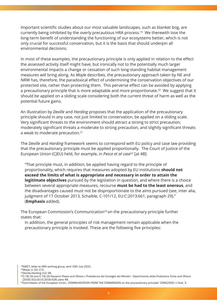Important scientific studies about our most valuable landscapes, such as blanket bog, are currently being inhibited by the overly precautious HRA process.19 We therewith lose the long-term benefit of understanding the functioning of our ecosystems better, which is not only crucial for successful conservation, but it is the basis that should underpin all environmental decisions.

In most of these examples, the precautionary principle is only applied in relation to the effect the assessed activity itself might have, but ironically not to the potentially much larger environmental impacts a change or cessation of such long-standing habitat management measures will bring along. As *Moyle* describes, the precautionary approach taken by NE and NRW has, therefore, the paradoxical effect of undermining the conservation objectives of our protected site, rather than protecting them. This perverse effect can be avoided by applying a precautionary principle that is more adaptable and more proportionate.<sup>20</sup> We suggest that it should be applied on a sliding scale considering both the current threat of harm as well as the potential future gains.

An illustration by *Deville* and *Harding* proposes that the application of the precautionary principle should in any case, not just limited to conservation, be applied on a sliding scale. Very significant threats to the environment should attract a strong to strict precaution, moderately significant threats a moderate to strong precaution, and slightly significant threats a weak to moderate precaution.21

The *Deville* and *Harding* framework seems to correspond with EU policy and case law providing that the precautionary principle must be applied proportionally. The Court of Justice of the European Union (CJEU) held, for example, in *Pesce et al case*22 [at 48]:

"That principle must, in addition, be applied having regard to the principle of proportionality, which requires that measures adopted by EU institutions **should not exceed the limits of what is appropriate and necessary in order to attain the legitimate objectives** pursued by the legislation in question, and where there is a choice between several appropriate measures, recourse **must be had to the least onerous**, and the disadvantages caused must not be disproportionate to the aims pursued (see, inter alia, judgment of 17 October 2013, Schaible, C-101/12, EU:C:2013:661, paragraph 29)." (**Emphasis** added).

The European Commission's Communication<sup>23</sup> on the precautionary principle further states that:

In addition, the general principles of risk management remain applicable when the precautionary principle is invoked. These are the following five principles:

19GWCT, letter to HRA working group, sent 19th July 2021.

<sup>20</sup>Moyle (n 10) 172.

<sup>21</sup>Deville,Harding (n2) 38.

<sup>&</sup>lt;sup>22</sup>C-78/16 and C-79/16 Giovanni Pesce and Others v Presidenza del Consiglio dei Ministri - Dipartimento della Protezione Civile and Others [2016] ECLI:EU:C:2016:428, para 48.

<sup>&</sup>lt;sup>23</sup>Commission of the European Union, 'COMMUNICATION FROM THE COMMISSION on the precautionary principle' COM(2000) 1 final, 3.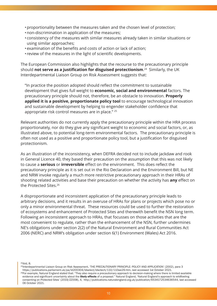- •proportionality between the measures taken and the chosen level of protection;
- •non-discrimination in application of the measures;
- consistency of the measures with similar measures already taken in similar situations or using similar approaches;
- •examination of the benefits and costs of action or lack of action;
- review of the measures in the light of scientific developments.

The European Commission also highlights that the recourse to the precautionary principle should **not serve as a justification for disguised protectionism**. 24 Similarly, the UK Interdepartmental Liaison Group on Risk Assessment suggests that:

"In practice the position adopted should reflect the commitment to sustainable development that gives full weight to **economic, social and environmental** factors. The precautionary principle should not, therefore, be an obstacle to innovation. **Properly applied it is a positive, proportionate policy tool** to encourage technological innovation and sustainable development by helping to engender stakeholder confidence that appropriate risk control measures are in place." 25

Relevant authorities do not currently apply the precautionary principle within the HRA process proportionately, nor do they give any significant weight to economic and social factors, or, as illustrated above, to potential long-term environmental factors. The precautionary principle is often not used as a positive and proportionate policy tool, but a justification for disguised protectionism.

As an illustration of the inconsistency, when DEFRA decided not to include jackdaw and rook in General Licence 40, they based their precaution on the assumption that this was not likely to cause a **serious** or **irreversible** effect on the environment. This does reflect the precautionary principle as it is set out in the Rio Declaration and the Environment Bill, but NE and NRW invoke regularly a much more restrictive precautionary approach in their HRAs of shooting related activities and base their precaution on whether the activity has **any** effect on the Protected Sites.26

A disproportionate and inconsistent application of the precautionary principle leads to arbitrary decisions, and it results in an overuse of HRAs for plans or projects which pose no or only a minor environmental threat. These resources could be used to further the restoration of ecosystems and enhancement of Protected Sites and therewith benefit the NSN long term. Following an inconsistent approach to HRAs, that focusses on those activities that are the most convenient to regulate, rather than the enhancement of the NSN, further undermines NE's obligations under section 2(2) of the Natural Environment and Rural Communities Act 2006 (NERC) and NRW's obligation under section 6(1) Environment (Wales) Act 2016.

24ibid, 8.

<sup>25</sup>Interdepartmental Liaison Group on Risk Assessment, 'THE PRECAUTIONARY PRINCIPLE: POLICY AND APPLICATION' (2002), para 3 https://publications.parliament.uk/pa/ld200304/ldselect/ldsctech/110/110we29.htm, last accessed 1st October 2021. <sup>26</sup>For example, Natural England stated that: "They also require a precautionary approach to decision-making where there is limited available evidence and significant uncertainty about the likely effects of a proposal." Natural England, 'Natural England's approach to wildfowling

consenting on Protected Sites' (2019/ZZ008), 4, http://publications.naturalengland.org.uk/publication/6534172534636544, last accessed 06 October 2021.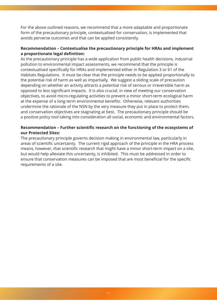For the above outlined reasons, we recommend that a more adaptable and proportionate form of the precautionary principle, contextualised for conservation, is implemented that avoids perverse outcomes and that can be applied consistently.

#### **Recommendation – Contextualise the precautionary principle for HRAs and implement a proportionate legal definition:**

As the precautionary principle has a wide application from public health decisions, industrial pollution to environmental impact assessments, we recommend that the principle is contextualised specifically for HRAs and implemented either in Regulation 3 or 61 of the Habitats Regulations. It must be clear that the principle needs to be applied proportionally to the potential risk of harm as well as impartially. We suggest a sliding scale of precaution depending on whether an activity attracts a potential risk of serious or irreversible harm as opposed to less significant impacts. It is also crucial, in view of meeting our conservation objectives, to avoid micro-regulating activities to prevent a minor short-term ecological harm at the expense of a long-term environmental benefits. Otherwise, relevant authorities undermine the rationale of the NSN by the very measure they put in place to protect them, and conservation objectives are stagnating at best. The precautionary principle should be a positive policy tool taking into consideration all social, economic and environmental factors.

#### **Recommendation – Further scientific research on the functioning of the ecosystems of our Protected Sites:**

The precautionary principle governs decision making in environmental law, particularly in areas of scientific uncertainty. The current rigid approach of the principle in the HRA process means, however, that scientific research that might have a minor short-term impact on a site, but would help alleviate this uncertainty, is inhibited. This must be addressed in order to ensure that conservation measures can be imposed that are most beneficial for the specific requirements of a site.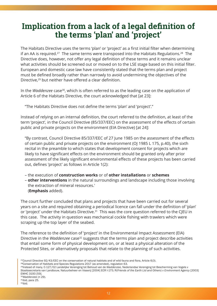### <span id="page-12-0"></span>**Implication from a lack of a legal definition of the terms 'plan' and 'project'**

The Habitats Directive uses the terms 'plan' or 'project' as a first initial filter when determining if an AA is required.<sup>27</sup> The same terms were transposed into the Habitats Regulations.<sup>28</sup> The Directive does, however, not offer any legal definition of these terms and it remains unclear what activities should be screened out or moved on to the LSE stage based on this initial filter. European and domestic case law have consistently stated that the terms plan and project must be defined broadly rather than narrowly to avoid undermining the objectives of the Directive,29 but neither have offered a clear definition.

In the *Waddenzee* case30, which is often referred to as the leading case on the application of Article 6 of the Habitats Directive, the court acknowledged that [at 23]:

"The Habitats Directive does not define the terms 'plan' and 'project'."

Instead of relying on an internal definition, the court referred to the definition, at least of the term 'project', in the Council Directive (85/337/EEC) on the assessment of the effects of certain public and private projects on the environment (EIA Directive) [at 24]:

"By contrast, Council Directive 85/337/EEC of 27 June 1985 on the assessment of the effects of certain public and private projects on the environment (OJ 1985 L 175, p.40), the sixth recital in the preamble to which states that development consent for projects which are likely to have significant effects on the environment should be granted only after prior assessment of the likely significant environmental effects of these projects has been carried out, defines 'project' as follows in Article 1(2):

- the execution of **construction works** or of **other installations** or **schemes**
- **other interventions** in the natural surroundings and landscape including those involving the extraction of mineral resources.' (**Emphasis** added).

The court further concluded that plans and projects that have been carried out for several years on a site and required obtaining a periodical licence can fall under the definition of 'plan' or 'project' under the Habitats Directive.<sup>31</sup> This was the core question referred to the CJEU in this case. The activity in question was mechanical cockle fishing with trawlers which were scraping up the top layer of the seabed.

The reference to the definition of 'project' in the Environmental Impact Assessment (EIA) Directive in the *Waddenzee* case<sup>32</sup> suggests that the terms plan and project describe activities that entail some form of physical development on, or at least a physical alteration of the Protected Sites, or alternatively proposals that relate to the planning of such activities.

<sup>&</sup>lt;sup>27</sup>Council Directive  $92/43/EEC$  on the conservation of natural habitats and of wild fauna and flora, Article 6(3).

<sup>28</sup>Conservation of Habitats and Species Regulations 2017 (as amended), regulation 63.

<sup>29</sup>Instead of many, C-127/02 Landelijke Vereniging tot Behoud van de *Waddenzee*, Nederlandse Vereniging tot Bescherming van Vogels v Staatssecretaris van Landbouw, Natuurbeheer en Visserij [2004] ECR I-175; R(*Friends of the Earth Ltd and Others*) *v Environment Agency* [2003] EWHC 3193 [59].

<sup>30</sup>*Waddenzee* (n 29).

<sup>31</sup>ibid, para 25.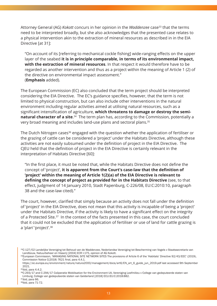Attorney General (AG) *Kokott* concurs in her opinion in the *Waddenzee* case33 that the terms need to be interpreted broadly, but she also acknowledges that the presented case relates to a physical intervention akin to the extraction of mineral resources as described in in the EIA Directive [at 31]:

"On account of its [referring to mechanical cockle fishing] wide-ranging effects on the upper layer of the seabed **it is in principle comparable, in terms of its environmental impact, with the extraction of mineral resources**. In that respect it would therefore have to be regarded as another intervention and thus as a project within the meaning of Article 1 (2) of the directive on environmental impact assessment." (**Emphasis** added).

The European Commission (EC) also concluded that the term project should be interpreted considering the EIA Directive. The EC's guidance specifies, however, that the term is not limited to physical construction, but can also include other interventions in the natural environment including regular activities aimed at utilising natural resources, such as a significant intensification of agriculture, **which threatens to damage or destroy the seminatural character of a site**.<sup>34</sup> The term plan has, according to the Commission, potentially a very broad meaning and includes land-use plans and sectoral plans.35

The Dutch Nitrogen cases<sup>36</sup> engaged with the question whether the application of fertiliser or the grazing of cattle can be considered a 'project' under the Habitats Directive, although these activities are not easily subsumed under the definition of project in the EIA Directive. The CJEU held that the definition of project in the EIA Directive is certainly relevant in the interpretation of Habitats Directive [60]:

"In the first place, it must be noted that, while the Habitats Directive does not define the concept of 'project', **it is apparent from the Court's case-law that the definition of 'project' within the meaning of Article 1(2)(a) of the EIA Directive is relevant to defining the concept of project as provided for in the Habitats Directive** (see, to that effect, judgment of 14 January 2010, Stadt Papenburg, C-226/08, EU:C:2010:10, paragraph 38 and the case-law cited)."

The court, however, clarified that simply because an activity does not fall under the definition of 'project' in the EIA Directive, does not mean that this activity is incapable of being a 'project' under the Habitats Directive, if the activity is likely to have a significant effect on the integrity of a Protected Site.<sup>37</sup> In the context of the facts presented in this case, the court concluded that it could not be excluded that the application of fertiliser or use of land for cattle grazing is a 'plan' 'project'.38

<sup>33</sup>C-127/02 Landelijke Vereniging tot Behoud van de Waddenzee, Nederlandse Vereniging tot Bescherming van Vogels v Staatssecretaris van Landbouw, Natuurbeheer en Visserij [2004] ECR I-175, opinion of AG Kokott.

<sup>34</sup>European Commission, 'MANAGING NATIONAL SITE NETWORK SITES The provisions of Article 6 of the 'Habitats' Directive 92/43/EEC' (2019), Commission Notice C(2018) 7621 final, para 4.4.1.

https://ec.europa.eu/environment/nature/natura2000/management/docs/art6/EN\_art\_6\_guide\_jun\_2019.pdf last accessed 9th September 2021.

<sup>35</sup>ibid, para 4.4.2.

<sup>36</sup>C-293/17 and C-294/17 Coöperatie Mobilisation for the Environment UA, Vereniging Leefmilieu v College van gedeputeerde staten van Limburg, College van gedeputeerde staten van Gelderland [2018] ECLI:EU:C:2018:882.

<sup>3</sup>[7ibid, para 66.](https://ec.europa.eu/environment/nature/natura2000/management/docs/art6/EN_art_6_guide_jun_2019.pdf)

<sup>38</sup>ibid, para 71-72.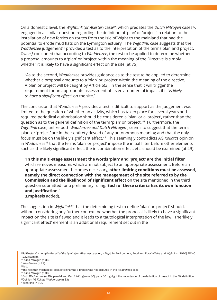On a domestic level, the *Wightlink* (*or Akester*) case39, which predates the *Dutch Nitrogen* cases40, engaged in a similar question regarding the definition of 'plan' or 'project' in relation to the installation of new ferries on routes from the Isle of Wight to the mainland that had the potential to erode mud flats on the Lymington estuary. The *Wightlink* case suggests that the *Waddenzee* judgement<sup>41</sup> provides a test as to the interpretation of the terms plan and project. *Owen J* concluded that according to *Waddenzee*, the test to be applied to determine whether a proposal amounts to a 'plan' or 'project' within the meaning of the Directive is simply whether it is likely to have a significant effect on the site [at 75]:

"As to the second, *Waddenzee* provides guidance as to the test to be applied to determine whether a proposal amounts to a 'plan' or 'project' within the meaning of the directive. A plan or project will be caught by Article 6(3), in the sense that it will trigger the requirement for an appropriate assessment of its environmental impact, if it "*is likely to have a significant effect*" on the site."

The conclusion that *Waddenzee*42 provides a test is difficult to support as the judgement was limited to the question of whether an activity, which has taken place for several years and required periodical authorisation should be considered a 'plan' or a 'project', rather than the question as to the general definition of the term 'plan' or 'project'.43 Furthermore, the *Wightlink* case, unlike both *Waddenzee and Dutch Nitrogen* , seems to suggest that the terms 'plan' or 'project' are in their entirety devoid of any autonomous meaning and that the only focus must be on the likely significant effect.45 This seemingly contradicts AG *Kokott's* opinion in *Waddenzee*46 that the terms 'plan' or 'project' impose the initial filter before other elements such as the likely significant effect, the in-combination effect, etc. should be examined [at 29]:

"**In this multi-stage assessment the words 'plan' and 'project' are the initial filter** which removes measures which are not subject to an appropriate assessment. Before an appropriate assessment becomes necessary, **other limiting conditions must be assessed, namely the direct connection with the management of the site referred to by the Commission and the likelihood of significant effect** on the site mentioned in the third question submitted for a preliminary ruling. **Each of these criteria has its own function and justification.**"

(**Emphasis** added).

The suggestion in *Wightlink*47 that the determining test to define 'plan' or 'project' should, without considering any further context, be whether the proposal is likely to have a significant impact on the site is flawed and it leads to a tautological interpretation of the law. The 'likely significant effect' element is an additional requirement set out in the

<sup>44</sup>*Dutch Nitrogen* (n 36).

<sup>39</sup>R(Akester & Anor) (On Behalf of the Lymington River Association) v Dept for Environment, Food and Rural Affairs and Wightlink [2010] EWHC 232 (Admin).

<sup>40</sup>*Dutch Nitrogen* (n 36).

<sup>41</sup>*Waddenzee* (n 29).

<sup>42</sup>ibid.

<sup>43</sup>The fact that mechanical cockle fishing was a project was not disputed in the *Waddenzee* case.

<sup>45</sup>Both *Waddenzee* (n 29), para24 and *Dutch Nitrogen* (n 36), para 60 highlight the importance of the definition of project in the EIA definition. 46Opinion AG *Kokott, Waddenzee* (n 33).

<sup>47</sup>Wightlink (n 39).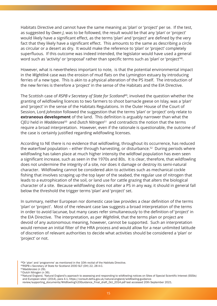Habitats Directive and cannot have the same meaning as 'plan' or 'project' per se. If the test, as suggested by *Owen J*, was to be followed, the result would be that any 'plan' or 'project' would likely have a significant effect, as the terms 'plan' and 'project' are defined by the very fact that they likely have a significant effect. This amounts to the same as describing a circle as circular or a desert as dry. It would make the reference to 'plan' or 'project' completely superfluous. If this outcome was indeed intended, the legislator would have used a general word such as 'activity' or 'proposal' rather than specific terms such as 'plan' or 'project'<sup>48</sup>.

However, what is nevertheless important to note, is that the potential environmental impact in the *Wightlink* case was the erosion of mud flats on the Lymington estuary by introducing ferries of a new type. This is akin to a physical alteration of the PS itself. The introduction of the new ferries is therefore a 'project' in the sense of the Habitats and the EIA Directive.

The Scottish case of *RSPB v Secretary of State for Scotland*49, involved the question whether the granting of wildfowling licences to two farmers to shoot barnacle geese on Islay, was a 'plan' and 'project' in the sense of the Habitats Regulations. In the Outer House of the Court of Session, Lord *Johnston* followed the suggestion that the terms 'plan' or 'project' only relate to **extraneous development** of the land. This definition is arguably narrower than what the CJEU held in *Waddenzee*50 and *Dutch Nitrogen*51 and contradicts the notion that the terms require a broad interpretation. However, even if the rationale is questionable, the outcome of the case is certainly justified regarding wildfowling licenses.

According to NE there is no evidence that wildfowling, throughout its occurrence, has reduced the waterfowl population – either through harvesting, or disturbance.<sup>52</sup> During periods where wildfowling has taken place at much higher intensity the wildfowl population has even seen a significant increase, such as seen in the 1970s and 80s. It is clear, therefore, that wildfowling does not undermine the integrity of a site, nor does it damage or destroy its semi-natural character. Wildfowling cannot be considered akin to activities such as mechanical cockle fishing that involves scraping up the top layer of the seabed, the regular use of nitrogen that leads to a eutrophication of the soil, or land use for cattle grazing that alters the biological character of a site. Because wildfowling does not alter a PS in any way, it should in general fall below the threshold the trigger terms 'plan' and 'project' set.

In summary, neither European nor domestic case law provides a clear definition of the terms 'plan' or 'project'. Most of the relevant case law suggests a broad interpretation of the terms in order to avoid lacunae, but many cases refer simultaneously to the definition of 'project' in the EIA Directive. The interpretation, as per *Wightlink*, that the terms plan or project are devoid of any autonomous meaning, however, cannot be supported. Such an interpretation would remove an initial filter of the HRA process and would allow for a near unlimited latitude of discretion of relevant authorities to decide what activities should be considered a 'plan' or 'project' or not.

<sup>48</sup>Or 'plan' and 'programme' as mentioned in the 10th recital of the Habitats Directive.

<sup>49</sup>RSPB v Secretary of State for Scotland 2000 SLT (OH) 22, 28 A-C.

<sup>50</sup>*Waddenzee* (n 29).

<sup>51</sup>*Dutch Nitrogen* (n 36).

<sup>52</sup>Natural England, 'Natural England's approach to assessing and responding to wildfowling notices on Sites of Special Scientific Interest (SSSIs) and European sites' (2014), para 4.1, https://consult.defra.gov.uk/natural-england/wildfowling-guidance-

review/supporting\_documents/Wildfowling%20Guidance\_Final\_draft\_Oct\_2014.pdf last accessed 20th September 2021.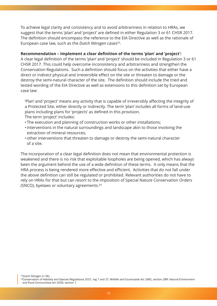To achieve legal clarity and consistency and to avoid arbitrariness in relation to HRAs, we suggest that the terms 'plan' and 'project' are defined in either Regulation 3 or 61 CHSR 2017. The definition should encompass the reference to the EIA Directive as well as the rationale of European case law, such as the *Dutch Nitrogen* cases53.

#### **Recommendation – Implement a clear definition of the terms 'plan' and 'project':**

A clear legal definition of the terms 'plan' and 'project' should be included in Regulation 3 or 61 CHSR 2017. This could help overcome inconsistency and arbitrariness and strengthen the Conservation Regulations. Such a definition should focus on the activities that either have a direct or indirect physical and irreversible effect on the site or threaten to damage or the destroy the semi-natural character of the site. The definition should include the tried and tested wording of the EIA Directive as well as extensions to this definition set by European case law:

'Plan' and 'project' means any activity that is capable of irreversibly affecting the integrity of a Protected Site, either directly or indirectly. The term 'plan' includes all forms of land-use plans including plans for 'projects' as defined in this provision.

The term 'project' includes:

- The execution and planning of construction works or other installations;
- •interventions in the natural surroundings and landscape akin to those involving the extraction of mineral resources;
- •other interventions that threaten to damage or destroy the semi-natural character of a site.

The incorporation of a clear legal definition does not mean that environmental protection is weakened and there is no risk that exploitable loopholes are being opened, which has always been the argument behind the use of a wide definition of these terms. It only means that the HRA process is being rendered more effective and efficient. Activities that do not fall under the above definition can still be regulated or prohibited. Relevant authorities do not have to rely on HRAs for that but can resort to the imposition of Special Nature Conservation Orders (SNCO), byelaws or voluntary agreements.54

<sup>53</sup>*Dutch Nitrogen* (n 36).

<sup>54</sup>Conservation of Habitats and Species Regulations 2017, reg 7 and 27; Wildlife and Countryside Act 1981, section 28R; Natural Environment and Rural Communities Act 2006, section 7.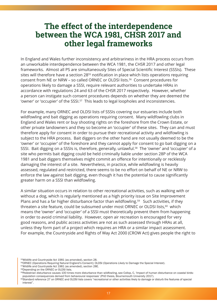### <span id="page-17-0"></span>**The effect of the interdependence between the WCA 1981, CHSR 2017 and other legal frameworks**

In England and Wales further inconsistency and arbitrariness in the HRA process occurs from an unworkable interdependence between the WCA 1981, the CHSR 2017 and other legal frameworks. Almost all PS are simultaneously Sites of Special Scientific Interest (SSSIs). These sites will therefore have a section 28<sup>55</sup> notification in place which lists operations requiring consent from NE or NRW – so called ORNEC or OLDSI lists.56 Consent procedures for operations likely to damage a SSSI, require relevant authorities to undertake HRAs in accordance with regulations 24 and 63 of the CHSR 2017 respectively. However, whether a person can instigate such consent procedures depends on whether they are deemed the 'owner' or 'occupier' of the SSSI.<sup>57</sup> This leads to legal loopholes and inconsistencies.

For example, many ORNEC and OLDSI lists of SSSIs covering our estuaries include both wildfowling and bait digging as operations requiring consent. Many wildfowling clubs in England and Wales rent or buy shooting rights on the foreshore from the Crown Estate, or other private landowners and they so become an 'occupier' of these sites. They can and must therefore apply for consent in order to pursue their recreational activity and wildfowling is subject to the HRA process. Bait diggers on the other hand are not usually deemed to be the 'owner' or 'occupier' of the foreshore and they cannot apply for consent to go bait digging on a SSSI. Bait digging on a SSSIs is, therefore, generally, unlawful.58 The 'owner' and 'occupier' of a site who permits bait digging could be held criminally liable under section 28P of the WCA 1981 and bait diggers themselves might commit an offence for intentionally or recklessly damaging the interest of a site. Nevertheless, in practice, while wildfowling is heavily assessed, regulated and restricted, there seems to be no effort on behalf of NE or NRW to enforce the law against bait digging, even though it has the potential to cause significantly greater harm on a SSSI than wildfowling.

A similar situation occurs in relation to other recreational activities, such as walking with or without a dog, which is regularly mentioned as a high priority issue on Site Improvement Plans and has a far higher disturbance factor than wildfowling.<sup>59</sup> Such activities, if they threaten a site feature, could be subsumed under most ORNEC or OLDSI lists,<sup>60</sup> which means the 'owner' and 'occupier' of a SSSI must theoretically prevent them from happening in order to avoid criminal liability. However, open air recreation is encouraged for very good reasons, and public access activities are not as such assessed through HRAs at all, unless they form part of a project which requires an HRA or a similar impact assessment. For example, the Countryside and Rights of Way Act 2000 (CROW Act) gives people the right to

58Depending on the ORNEC or OLDSI lists.

<sup>55</sup>Wildlife and Countryside Act 1981 (as amended), section 28.

<sup>56</sup>ORNEC (Operations Requiring Natural England's Consent); OLDSI (Operations Likely to Damage the Special Interest).

<sup>57</sup>Wildlife and Countryside Act 1981 (as amended), section 28E.

<sup>&</sup>lt;sup>59</sup>Pedestrian disturbance causes 100 times more disturbance than wildfowling, see Collop, C, 'Impact of human disturbance on coastal birds: population consequences derived from behavioural responses' (PhD thesis, Bournemouth University 2017).

<sup>&</sup>lt;sup>60</sup>Standard reference 27 on ORNEC and OLDSI lists covers "recreational or other activities likely to damage or disturb the features of special interest".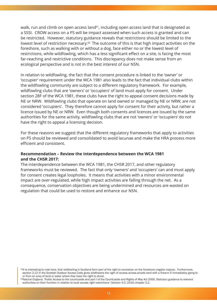walk, run and climb on open access land $61$ , including open access land that is designated as a SSSI. CROW access on a PS will be impact assessed when such access is granted and can be restricted. However, statutory guidance reveals that restrictions should be limited to the lowest level of restriction necessary.<sup>62</sup> The outcome of this is that high impact activities on the foreshore, such as walking with or without a dog, face either no or the lowest level of restrictions, while wildfowling, which has a less significant effect on a site, is facing the most far-reaching and restrictive conditions. This discrepancy does not make sense from an ecological perspective and is not in the best interest of our NSN.

In relation to wildfowling, the fact that the consent procedure is linked to the 'owner' or 'occupier' requirement under the WCA 1981 also leads to the fact that individual clubs within the wildfowling community are subject to a different regulatory framework. For example, wildfowling clubs that are 'owners' or 'occupiers' of land must apply for consent. Under section 28F of the WCA 1981, these clubs have the right to appeal consent decisions made by NE or NRW. Wildfowling clubs that operate on land owned or managed by NE or NRW, are not considered 'occupiers'. They therefore cannot apply for consent for their activity, but rather a licence issued by NE or NRW. Even though both consents and licences are issued by the same authorities for the same activity, wildfowling clubs that are not 'owners' or 'occupiers' do not have the right to appeal a licensing decision.

For these reasons we suggest that the different regulatory frameworks that apply to activities on PS should be reviewed and consolidated to avoid lacunae and make the HRA process more efficient and consistent.

#### **Recommendation – Review the interdependence between the WCA 1981 and the CHSR 2017:**

The interdependence between the WCA 1981, the CHSR 2017, and other regulatory frameworks must be reviewed. The fact that only 'owners' and 'occupiers' can and must apply for consent creates legal loopholes. It means that activities with a minor environmental impact are over-regulated, while high impact activities are falling through the net. As a consequence, conservation objectives are being undermined and resources are wasted on regulation that could be used to restore and enhance our NSN.

<sup>61</sup>It is interesting to note here, that wildfowling in Scotland form part of the right to recreation on the foreshore (regalia majora). Furthermore, section 2.12 in the Scottish Outdoor Access Code gives wildfowlers the right of access across private land with a firearm if immediately going to or from an area of land or water where they have the right to shoot.

<sup>&</sup>lt;sup>62</sup>Natural England, 'Public Access to the countryside and part I of the Countryside and Rights of Way Act 2000, Statutory guidance to relevant authorities on their function in relation to local access right restrictions' (Version 4.0: 2010) chapter 2.2.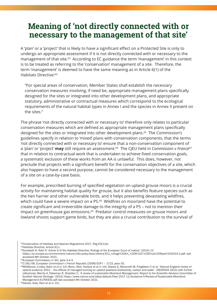### <span id="page-19-0"></span>**Meaning of 'not directly connected with or necessary to the management of that site'**

A 'plan' or a 'project' that is likely to have a significant effect on a Protected Site is only to undergo an appropriate assessment if it is not directly connected with or necessary to the management of that site.<sup>63</sup> According to EC guidance the term 'management' in this context is to be treated as referring to the 'conservation' management of a site. Therefore, the term 'management' is deemed to have the same meaning as in Article 6(1) of the Habitats Directive:64

"For special areas of conservation, Member States shall establish the necessary conservation measures involving, if need be, appropriate management plans specifically designed for the sites or integrated into other development plans, and appropriate statutory, administrative or contractual measures which correspond to the ecological requirements of the natural habitat types in Annex I and the species in Annex II present on the sites."

The phrase 'not directly connected with or necessary to' therefore only relates to particular conservation measures which are defined as appropriate management plans specifically designed for the sites or integrated into other development plans.<sup>65</sup> The Commission's guidelines specify in relation to 'mixed' plans with conservation components, that the terms 'not directly connected with or necessary to' ensure that a non-conservation component of a 'plan' or 'project' **may** still require an assessment.<sup>66</sup> The CJEU held in *Commission v France*<sup>67</sup> that in relation to contractual work that is undertaken to achieve fixed conservation goals, a systematic exclusion of these works from an AA is unlawful. This does, however, not preclude that projects with a significant benefit for the conservation objectives of a site, which also happen to have a second purpose, cannot be considered necessary to the management of a site on a case-by-case basis.

For example, prescribed burning of specified vegetation on upland grouse moors is a crucial activity for maintaining habitat quality for grouse, but it also benefits feature species such as the hen harrier and other vulnerable birds, and it helps preventing devastating wildfires, which could have a severe impact on a PS.<sup>68</sup> Wildfires on moorland have the potential to create significant and irreversible damage to the integrity of a PS – not to mention their impact on greenhouse gas emissions.<sup>69</sup> Predator control measures on grouse moors and lowland shoots support game birds, but they are also a crucial contribution to the survival of

63Conservation of Habitats and Species Regulations 2017, Reg 63(1)(b).

64Habitats Directive, Article 6(1).

65Sundseth K, Roth P,' Article 6 of the Habitats Directive, Rulings of the European Court of Justice' (2014) 13

https://ec.europa.eu/environment/nature/info/pubs/docs/others/ECJ\_rulings%20Art\_%206%20-%20Final%20Sept%202014-2.pdf, last accessed 8th October 2021.

66European Commission (n 34), para 4.4.3.

67C-241/08, *European Commission v French Republic* [2008] ECR I – 1723, para 55.

68McMarrow, Lindey, Aylen et al (n 14); Bonn, Allot, Huback et al (n 14); Glaves D, Morecroft M, Fitzgibbon C et al, 'Natural England review of upland evidence 2012 – the effects of managed burning on upland peatland biodiversity, carbon and water' (NEER004 2013) with further [references; Werrity A, Pakeman R, Shedden C, 'A review of sustainable Moorland Management, Report to the Scientific Advisory Comm](https://ec.europa.eu/environment/nature/info/pubs/docs/others/ECJ_rulings%20Art_%206%20-%20Final%20Sept%202014-2.pdf)ittee of Scottish Natural Heritage' (2015) https://www.nature.scot/sites/default/files/2017-11/Guidance-A-Review-of-Sustainable-Moorland-Management-A1765931.pdf last accessed 9th October 2021.

69Davies, Grey, Rein et al (n 15).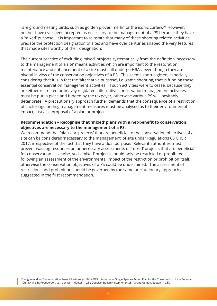rare ground nesting birds, such as golden plover, merlin or the iconic curlew.<sup>70</sup> However, neither have ever been accepted as necessary to the management of a PS because they have a 'mixed' purpose. It is important to reiterate that many of these shooting related activities predate the protection designation of sites and have over centuries shaped the very features that made sites worthy of their designation.

The current practice of excluding 'mixed' projects systematically from the definition 'necessary to the management of a site' means activities which are important to the restoration, maintenance and enhancement of a site must still undergo HRAs, even though they are pivotal in view of the conservation objectives of a PS. This seems short-sighted, especially considering that it is in fact the 'alternative purpose', i.e. game shooting, that is funding these essential conservation management activities. If such activities were to cease, because they are either restricted or heavily regulated, alternative conservation management activities must be put in place and funded by the taxpayer, otherwise various PS will inevitably deteriorate. A precautionary approach further demands that the consequence of a restriction of such longstanding management measures must be analysed as to their environmental impact, just as a proposal of a plan or project.

#### **Recommendation – Recognise that 'mixed' plans with a net-benefit to conservation objectives are necessary to the management of a PS:**

We recommend that 'plans' or 'projects' that are beneficial to the conservation objectives of a site can be considered 'necessary to the management' of site under Regulations 63 CHSR 2017, irrespective of the fact that they have a dual purpose. Relevant authorities must prevent wasting resources on unnecessary assessments of 'mixed' projects that are beneficial for conservation. Likewise, such 'mixed' projects should only be restricted or prohibited following an assessment of the environmental impact of the restriction or prohibition itself, otherwise the conservation objectives of a PS could be undermined. The assessment of restrictions and prohibition should be governed by the same precautionary approach as suggested in the first recommendation.

70Langholm Moor Demonstration Project Partners (n 18); AEWA International Single Species Action Plan for the Conservation of the Eurasian Curlew (n 18); Roodbergen, van der Werf, Hötker (n 18); Douglas, Bellamy, Stephen (n 18); Grant, Osman, Easton (n 18).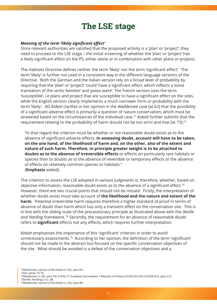### <span id="page-21-0"></span>**The LSE stage**

#### *Meaning of the term 'likely significant effect'*

Once relevant authorities are satisfied that the proposed activity is a 'plan' or 'project', they need to proceed to the LSE stage – the initial screening of whether the 'plan' or 'project' has a likely significant effect on the PS, either alone or in combination with other plans or projects.

The Habitats Directive defines neither the term 'likely' nor the term 'significant effect'. The term 'likely' is further not used in a consistent way in the different language versions of the Directive. Both the German and the Italian version rely on a broad level of probability by requiring that the 'plan' or 'project' 'could' have a significant effect, which reflects a loose translation of the verbs '*könnten*' and '*possa avere*'. The French version uses the term 'susceptible', i.e plans and project that are susceptible to have a significant effect on the sites, while the English version clearly implements a much narrower form or probability with the term 'likely'. AG *Kokott* clarifies in her opinion in the *Waddenzee* case [at 62] that the possibility of a significant adverse effect is primarily a question of nature conservation, which must be answered based on the circumstances of the individual case.71 *Kokott* further submits that the requirement relating to the probability of harm should not be too strict and that [at 73]:<sup>72</sup>

"In that regard the criterion must be whether or not reasonable doubt exists as to the absence of significant adverse effects. **In assessing doubt, account will have to be taken, on the one hand, of the likelihood of harm and, on the other, also of the extent and nature of such harm. Therefore, in principle greater weight is to be attached to doubts as to the absence of irreversible effects** or effects on particularly rare habitats or species than to doubts as to the absence of reversible or temporary effects or the absence of effects on relatively common species or habitats." (**Emphasis** added).

The criterion to assess the LSE adopted in various judgments is, therefore, whether, based on objective information, reasonable doubt exists as to the absence of a significant effect.<sup>73</sup> However, there are two crucial points that should not be missed. Firstly, the interpretation of whether doubt exists must take account of **the likelihood and the nature and extent of the harm**. Potential irreversible harm requires therefore a higher standard of proof in terms of absence of doubt than harm which has only a transient effect on the conservation site. This is in line with the sliding scale of the precautionary principle as illustrated above with the *Deville* and *Harding* framework.74 Secondly, the requirement for an absence of reasonable doubt refers to **significant** effects not any effects, which requires further interpretation.

*Kokott* emphasises the importance of this 'significant' criterion in order to avoid unnecessary assessments.75 According to her opinion, the definition of the term 'significant' should not be made in the abstract but focused on the specific conservation objectives of the site. What should be avoided is a defeat of the conservation objectives and a

<sup>71</sup>*Waddenzee*, opinion of AG Kokott (n 33), para 62.

72ibid, paras 70-74.

<sup>73</sup>*Waddenzee* (n 29), para 59; C-441/17 European Commission v Republic of Poland [2018] ECLI:EU:C:2018:255, para 117.

<sup>74</sup>Deville, Harding (n 2), 38.

<sup>75</sup>*Waddenzee*, opinion of AG Kokott (n 33), para 80.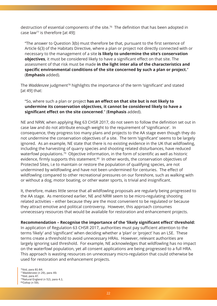destruction of essential components of the site.76 The definition that has been adopted in case law77 is therefore [at 49]:

"The answer to Question 3(b) must therefore be that, pursuant to the first sentence of Article 6(3) of the Habitats Directive, where a plan or project not directly connected with or necessary to the management of a site **is likely to undermine the site's conservation objectives**, it must be considered likely to have a significant effect on that site. The assessment of that risk must be made **in the light inter alia of the characteristics and specific environmental conditions of the site concerned by such a plan or project.**" (**Emphasis** added).

The *Waddenzee* judgment78 highlights the importance of the term 'significant' and stated  $[at 49]$  that:

#### "So, where such a plan or project **has an effect on that site but is not likely to undermine its conservation objectives, it cannot be considered likely to have a significant effect on the site concerned**." (**Emphasis** added).

NE and NRW, when applying Reg 63 CHSR 2017, do not seem to follow the definition set out in case law and do not attribute enough weight to the requirement of 'significance'. In consequence, they progress too many plans and projects to the AA stage even though they do not undermine the conservation objectives of a site. The term 'significant' seems to be largely ignored. As an example, NE state that there is no existing evidence in the UK that wildfowling, including the harvesting of quarry species and shooting related disturbances, have reduced waterfowl populations.79 Objective information, in the form of scientific as well as historic evidence, firmly supports this statement.<sup>80</sup> In other words, the conservation objectives of Protected Sites, i.e to maintain or restore the population of qualifying species, are not undermined by wildfowling and have not been undermined for centuries. The effect of wildfowling compared to other recreational pressures on our foreshore, such as walking with or without a dog, motor boating, or other water sports, is trivial and insignificant.

It, therefore, makes little sense that all wildfowling proposals are regularly being progressed to the AA stage. As mentioned earlier, NE and NRW seem to be micro-regulating shooting related activities – either because they are the most convenient to be regulated or because they attract emotive and political controversy. However, this approach consumes unnecessary resources that would be available for restoration and enhancement projects.

#### **Recommendation – Recognise the importance of the 'likely significant effect' threshold:**

In application of Regulation 63 CHSR 2017, authorities must pay sufficient attention to the terms 'likely' and 'significant' when deciding whether a 'plan' or 'project' has an LSE. These terms create a threshold to avoid unnecessary HRAs. However, relevant authorities are largely ignoring said threshold. For example, NE acknowledges that wildfowling has no impact on the waterfowl population, yet all consent applications are being progressed to a full HRA. This approach is wasting resources on unnecessary micro-regulation that could otherwise be used for restoration and enhancement projects.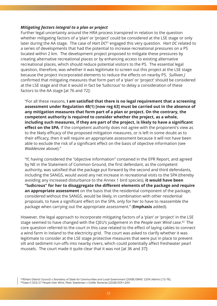#### *Mitigating factors integral to a plan or project*

Further legal uncertainty around the HRA process transpired in relation to the question whether mitigating factors of a 'plan' or 'project' could be considered at the LSE stage or only later during the AA stage. The case of *Hart DC81* engaged this very question. *Hart DC* related to a series of developments that had the potential to increase recreational pressures on a PS located within 2 km. The development project proposed to mitigate these pressures by creating alternative recreational places or by enhancing access to existing alternative recreational places, which should reduce potential visitors to the PS. The essential legal question, therefore, was whether it was legitimate to screen out this project at the LSE stage because the project incorporated elements to reduce the effects on nearby PS. *Sullivan J* confirmed that mitigating measures that form part of a 'plan' or 'project' should be considered at the LSE stage and that it would in fact be 'ludicrous' to delay a consideration of these factors to the AA stage [at 76 and 72]:

"For all these reasons, **I am satisfied that there is no legal requirement that a screening assessment under Regulation 48(1) [now reg 63] must be carried out in the absence of any mitigation measures that form part of a plan or project. On the contrary, the competent authority is required to consider whether the project, as a whole, including such measures, if they are part of the project, is likely to have a significant effect on the SPA**. If the competent authority does not agree with the proponent's view as to the likely efficacy of the proposed mitigation measures, or is left in some doubt as to their efficacy, then it will require an appropriate assessment because it will not have been able to exclude the risk of a significant effect on the basis of objective information (see *Waddenzee* above)."

"If, having considered the "objective information" contained in the EPR Report, and agreed by NE in the Statement of Common Ground, the first defendant, as the competent authority, was satisfied that the package put forward by the second and third defendants, including the SANGS, would avoid any net increase in recreational visits to the SPA (thereby avoiding any increased disturbance to the Annex 1 bird species), **it would have been "ludicrous" for her to disaggregate the different elements of the package and require an appropriate assessment** on the basis that the residential component of the package, considered without the SANGS, would be likely, in combination with other residential proposals, to have a significant effect on the SPA, only for her to have to reassemble the package when carrying out the appropriate assessment." (**Emphasis** added).

However, the legal approach to incorporate mitigating factors of a 'plan' or 'project' in the LSE stage seemed to have changed with the CJEU's judgement in the *People over Wind* case.82 The core question referred to the court in this case related to the effect of laying cables to connect a wind farm in Ireland to the electricity grid. The court was asked to clarify whether it was legitimate to consider at the LSE stage protective measures that were put in place to prevent silt and sediment run-offs into nearby rivers, which could potentially affect freshwater pearl mussels. The court made it quite clear that it was not [at 36 and 37]:

81*R(Hart District Council) v Secretary of State for Communities and Local Government [2008] EWHC 1204 (Admin) [72-76].* 82Case C-323/17 *People Over Wind*, Peter *Sweetman v Coillte Teoranta* [2018] ECR I-244.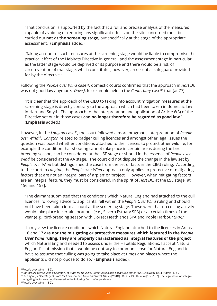"That conclusion is supported by the fact that a full and precise analysis of the measures capable of avoiding or reducing any significant effects on the site concerned must be carried out **not at the screening stage**, but specifically at the stage of the appropriate assessment." (**Emphasis** added).

"Taking account of such measures at the screening stage would be liable to compromise the practical effect of the Habitats Directive in general, and the assessment stage in particular, as the latter stage would be deprived of its purpose and there would be a risk of circumvention of that stage, which constitutes, however, an essential safeguard provided for by the directive."

Following the *People over Wind* case<sup>83</sup>, domestic courts confirmed that the approach in *Hart DC* was not good law anymore. *Dove I*, for example held in the *Canterbury* case<sup>84</sup> that [at 77]:

"It is clear that the approach of the CJEU to taking into account mitigation measures at the screening stage is directly contrary to the approach which had been taken in domestic law in Hart and Smyth. The approach to the interpretation and application of Article 6(3) of the Directive set out in those cases **can no longer therefore be regarded as good law**." (**Emphasis** added.)

However, in the *Langton* case<sup>85</sup>, the court followed a more pragmatic interpretation of *People over Wind*86. *Langton* related to badger culling licences and amongst other legal issues the question was posed whether conditions attached to the licences to protect other wildlife, for example the condition that shooting cannot take place in certain areas during the bird breeding season, can be considered at the LSE stage or should in the essence of *People over Wind* be considered at the AA stage. The court did not dispute the change in the law set by *People over Wind* but distinguished the case from the set of facts in the CJEU ruling. According to the court in *Langton*, the *People over Wind* approach only applies to protective or mitigating factors that are not an integral part of a 'plan' or 'project'. However, when mitigating factors are an integral feature, they must be considered, in the spirit of *Hart DC*, at the LSE stage [at 156 and 157]:

"The claimant submitted that the conditions which Natural England had attached to the cull licences, following advice to applicants, fell within the *People Over Wind* ruling and should not have been taken into account at the screening stage. These were that no culling activity would take place in certain locations (e.g., Severn Estuary SPA) or at certain times of the year (e.g., bird-breeding season with Dorset Heathlands SPA and Poole Harbour SPA)."

"In my view the licence conditions which Natural England attached to the licences in Areas 16 and 17 **are not the mitigating or protective measures which featured in the** *People Over Wind* **ruling. They are properly characterised as integral features of the project** which Natural England needed to assess under the Habitats Regulations. I accept Natural England's submission that it would be contrary to common sense for Natural England to have to assume that culling was going to take place at times and places where the applicants did not propose to do so." (**Emphasis** added).

<sup>&</sup>lt;sup>83</sup> People over Wind (n 82).<br><sup>84</sup> Canterbury City Council v Secretary of State for Housing, Communities and Local Government [2019] EWHC 1211 (Admin) [77].

<sup>85</sup>R(Langton) v Secretary of State for Environment, Food and Rural Affairs [2018] EWHC 2190 (Admin) [156-157]. The legal issue on integral mitigating factor was not discussed in the following Court of Appeal case.

<sup>86</sup>*People over Wind* (n 82).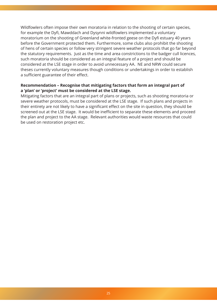Wildfowlers often impose their own moratoria in relation to the shooting of certain species, for example the Dyfi, Mawddach and Dysynni wildfowlers implemented a voluntary moratorium on the shooting of Greenland white-fronted geese on the Dyfi estuary 40 years before the Government protected them. Furthermore, some clubs also prohibit the shooting of hens of certain species or follow very stringent severe weather protocols that go far beyond the statutory requirements. Just as the time and area constrictions to the badger cull licences, such moratoria should be considered as an integral feature of a project and should be considered at the LSE stage in order to avoid unnecessary AA. NE and NRW could secure theses currently voluntary measures though conditions or undertakings in order to establish a sufficient guarantee of their effect.

#### **Recommendation – Recognise that mitigating factors that form an integral part of a 'plan' or 'project' must be considered at the LSE stage.**

Mitigating factors that are an integral part of plans or projects, such as shooting moratoria or severe weather protocols, must be considered at the LSE stage. If such plans and projects in their entirety are not likely to have a significant effect on the site in question, they should be screened out at the LSE stage. It would be inefficient to separate these elements and proceed the plan and project to the AA stage. Relevant authorities would waste resources that could be used on restoration project etc.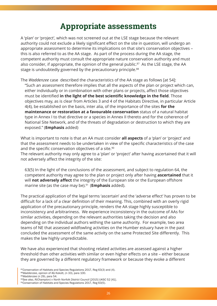### <span id="page-26-0"></span>**Appropriate assessments**

A 'plan' or 'project', which was not screened out at the LSE stage because the relevant authority could not exclude a likely significant effect on the site in question, will undergo an appropriate assessment to determine its implications on that site's conservation objectives – this is also referred to as the AA stage. As part of the process during the AA stage, the competent authority must consult the appropriate nature conservation authority and must also consider, if appropriate, the opinion of the general public.<sup>87</sup> As the LSE stage, the AA stage is undoubtedly governed by the precautionary principle.<sup>88</sup>

The *Waddenzee* case described the characteristics of the AA stage as follows [at 54]: "Such an assessment therefore implies that all the aspects of the plan or project which can, either individually or in combination with other plans or projects, affect those objectives must be identified **in the light of the best scientific knowledge in the field**. Those objectives may, as is clear from Articles 3 and 4 of the Habitats Directive, in particular Article 4(4), be established on the basis, inter alia, of the importance of the sites **for the maintenance or restoration at a favourable conservation** status of a natural habitat type in Annex I to that directive or a species in Annex II thereto and for the coherence of National Site Network, and of the threats of degradation or destruction to which they are exposed." (**Emphasis** added)

What is important to note is that an AA must consider **all aspects** of a 'plan' or 'project' and that the assessment needs to be undertaken in view of the specific characteristics of the case and the specific conservation objectives of a site.<sup>90</sup> The relevant authority may only agree to a 'plan' or 'project' after having ascertained that it will not adversely affect the integrity of the site:

63(5) In the light of the conclusions of the assessment, and subject to regulation 64, the competent authority may agree to the plan or project only after having **ascertained** that it will **not adversely affect** the integrity of the European site or the European offshore marine site (as the case may be).91 (**Emphasis** added).

The practical application of the legal terms 'ascertain' and the 'adverse effect' has proven to be difficult for a lack of a clear definition of their meaning. This, combined with an overly rigid application of the precautionary principle, renders the AA stage highly susceptible to inconsistency and arbitrariness. We experience inconsistency in the outcome of AAs for similar activities, depending on the relevant authorities taking the decision and also depending on the individual authors withing the same authority. For example, two area teams of NE that assessed wildfowling activities on the Humber estuary have in the past concluded the assessment of the same activity on the same Protected Site differently. This makes the law highly unpredictable.

We have also experienced that shooting related activities are assessed against a higher threshold than other activities with similar or even higher effects on a site – either because they are governed by a different regulatory framework or because they evoke a different

87 Conservation of Habitats and Species Regulations 2017, Reg 63(3) and (4).

<sup>88</sup>*Waddenzee*, opinion of AG Kokott, (n 33), para 100.

<sup>89</sup>*Waddenzee* (n 29), para 54.

<sup>90</sup>See also, *R(Champion) v North Norfolk District Council* [2015] UKSC 52 [41].

<sup>91</sup> Conservation of Habitats and Species Regulations 2017, Reg 63(5).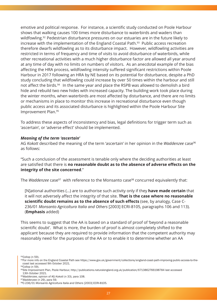emotive and political response. For instance, a scientific study conducted on Poole Harbour shows that walking causes 100 times more disturbance to waterbirds and waders than wildfowling.<sup>92</sup> Pedestrian disturbance pressures on our estuaries are in the future likely to increase with the implementation of the England Coastal Path.<sup>93</sup> Public access recreation therefore dwarfs wildfowling as to its disturbance impact. However, wildfowling activities are restricted in terms of frequency and time of visits to avoid disturbance of waterbirds, while other recreational activities with a much higher disturbance factor are allowed all year around at any time of day with no limits on numbers of visitors. As an anecdotal example of the bias affecting the HRA process, wildfowling intensity suffered significant restrictions within Poole Harbour in 2017 following an HRA by NE based on its potential for disturbance, despite a PhD study concluding that wildfowling could increase by over 50 times within the harbour and still not affect the birds.<sup>94</sup> In the same year and place the RSPB was allowed to demolish a bird hide and rebuild two new hides with increased capacity. The building work took place during the winter months, when waterbirds are most affected by disturbance, and there are no limits or mechanisms in place to monitor this increase in recreational disturbance even though public access and its associated disturbance is highlighted within the Poole Harbour Site Improvement Plan.95

To address these aspects of inconsistency and bias, legal definitions for trigger term such as 'ascertain', or 'adverse effect' should be implemented.

#### *Meaning of the term 'ascertain'*

AG *Kokott* described the meaning of the term 'ascertain' in her opinion in the *Waddenzee* case<sup>96</sup> as follows:

"Such a conclusion of the assessment is tenable only where the deciding authorities at least are satisfied that there is **no reasonable doubt as to the absence of adverse effects on the integrity of the site concerned**."

The *Waddenzee* case<sup>97</sup> with reference to the Monsanto case<sup>98</sup> concurred equivalently that:

[N]ational authorities (…) are to authorise such activity only if they **have made certain** that it will not adversely affect the integrity of that site. **That is the case where no reasonable scientific doubt remains as to the absence of such effects** (see, by analogy, Case C-236/01 *Monsanto Agricoltura Italia and Others* [2003] ECRI-8105, paragraphs 106 and 113). (**Emphasis** added)

This seems to suggest that the AA is based on a standard of proof of 'beyond a reasonable scientific doubt'. What is more, the burden of proof is almost completely shifted to the applicant because they are required to provide information that the competent authority may reasonably need for the purposes of the AA or to enable it to determine whether an AA

92Collop (n 59).

94Collop (n 59).

<sup>93</sup>For more info on the England Coastal Path see https://www.gov.uk/government/collections/england-coast-path-improving-public-access-to-thecoast last accessed 9th October 2021.

<sup>95</sup>Site Improvement Plan, Poole Harbour, http://publications.naturalengland.org.uk/publication/6713862766198784 last accessed 13th October 2021.

<sup>96</sup>*Waddenzee*, opinion of AG *Kokott* (n 33), para [108.](https://www.gov.uk/government/collections/england-coast-path-improving-public-access-to-the-
coast)

<sup>97</sup>*Waddenzee* (n 29), para 59.

<sup>9</sup>[8C-236](https://www.gov.uk/government/collections/england-coast-path-improving-public-access-to-the-
coast)/01 *Monsanto Agricoltura Italia and Others* [2003] ECRI-8105.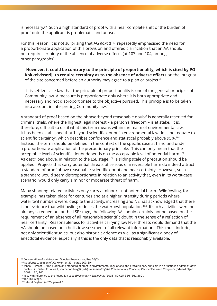is necessary.99 Such a high standard of proof with a near complete shift of the burden of proof onto the applicant is problematic and unusual.

For this reason, it is not surprising that AG *Kokott*100 repeatedly emphasised the need for a proportionate application of this provision and offered clarification that an AA should not require certainty of the absence of adverse effects [at 103 and 104, among other paragraphs]:

"**However, it could be contrary to the principle of proportionality, which is cited by PO Kokkelvisserij, to require certainty as to the absence of adverse effects** on the integrity of the site concerned before an authority may agree to a plan or project."

"It is settled case-law that the principle of proportionality is one of the general principles of Community law. A measure is proportionate only where it is both appropriate and necessary and not disproportionate to the objective pursued. This principle is to be taken into account in interpreting Community law."

A standard of proof based on the phrase 'beyond reasonable doubt' is generally reserved for criminal trials, where the highest legal interest – a person's freedom – is at stake. It is, therefore, difficult to distil what this term means within the realm of environmental law. It has been established that 'beyond scientific doubt' in environmental law does not equate to scientific 'certainty', which describes confidence and statistical probably above 95%.<sup>101</sup> Instead, the term should be defined in the context of the specific case at hand and under a proportionate application of the precautionary principle. This can only mean that the acceptable level of scientific doubt depends on the acceptable level of potential harm.102 As described above, in relation to the LSE stage,<sup>103</sup> a sliding scale of precaution should be applied. Projects that carry potential threats of serious or irreversible harm do indeed attract a standard of proof above reasonable scientific doubt and near certainty. However, such a standard would seem disproportionate in relation to an activity that, even in its worst-case scenario, would only carry a minor or moderate threat of harm.

Many shooting related activities only carry a minor risk of potential harm. Wildfowling, for example, has taken place for centuries and at a higher intensity during periods where waterfowl numbers were, despite the activity, increasing and NE has acknowledged that there is no evidence that wildfowling reduces the waterfowl population.<sup>104</sup> If such activities were not already screened out at the LSE stage, the following AA should certainly not be based on the requirement of an absence of all reasonable scientific doubt in the sense of a reflection of near certainty. Reasonableness for activities carrying low level threats would demand that the AA should be based on a holistic assessment of all relevant information. This must include, not only scientific studies, but also historic evidence as well as a significant a body of anecdotal evidence, especially if this is the only data that is reasonably available.

<sup>99</sup> Conservation of Habitats and Species Regulations, Reg 63(2).

<sup>100</sup>*Waddenzee*, opinion of AG *Kokott* (n 33), paras 103-104.

<sup>101</sup> Jones J, Bronitt S, 'The burden and standard of proof in environmental regulations: the precautionary principle in an Australian administrative context' in: Fisher E, Jones J, von Schomberg R (eds) *Implementing the Precautionary Principle, Perspectives and Prospects* (Edward Elgar 2008) 137, 142.

<sup>102</sup>ibid, with reference to the Australian case *Briginshaw v Briginshaw* (1938) 60 CLR 336 [361-362].

<sup>103</sup>The LSE-stage.

<sup>104</sup>Natural England (n 52), para 4.1.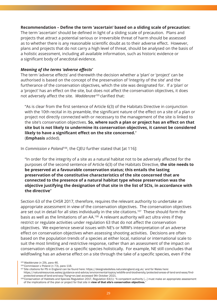#### **Recommendation – Define the term 'ascertain' based on a sliding scale of precaution:**

The term 'ascertain' should be defined in light of a sliding scale of precaution. Plans and projects that attract a potential serious or irreversible threat of harm should be assessed as to whether there is any reasonable scientific doubt as to their adverse effect. However, plans and projects that do not carry a high level of threat, should be analysed on the basis of a holistic assessment, including all available information, such as historic evidence or a significant body of anecdotal evidence.

#### *Meaning of the terms 'adverse effects'*

The term 'adverse effects' and therewith the decision whether a 'plan' or 'project' can be authorised is based on the concept of the preservation of 'integrity of the site' and the furtherance of the conservation objectives, which the site was designated for. If a 'plan' or a 'project' has an effect on the site, but does not affect the conservation objectives, it does not adversely affect the site. *Waddenzee105* clarified that:

"As is clear from the first sentence of Article 6(3) of the Habitats Directive in conjunction with the 10th recital in its preamble, the significant nature of the effect on a site of a plan or project not directly connected with or necessary to the management of the site is linked to the site's conservation objectives. **So, where such a plan or project has an effect on that site but is not likely to undermine its conservation objectives, it cannot be considered likely to have a significant effect on the site concerned.**" (**Emphasis** added).

#### In *Commission v Poland*106, the CJEU further stated that [at 116]:

"In order for the integrity of a site as a natural habitat not to be adversely affected for the purposes of the second sentence of Article 6(3) of the Habitats Directive, **the site needs to be preserved at a favourable conservation status; this entails the lasting preservation of the constitutive characteristics of the site concerned that are connected to the presence of a natural habitat type whose preservation was the objective justifying the designation of that site in the list of SCIs, in accordance with the directive**"

Section 63 of the CHSR 2017, therefore, requires the relevant authority to undertake an appropriate assessment in view of the conservation objectives. The conservation objectives are set out in detail for all sites individually in the site citations.<sup>107</sup> These should form the basis as well as the limitations of an AA.108 A relevant authority will act ultra vires if they restrict or regulate activities under regulation 63 that do not affect the conservation objectives. We experience several issues with NE's or NRW's interpretation of an adverse effect on conservation objectives when assessing shooting activities. Decisions are often based on the population trends of a species at either local, national or international scale to suit the most limiting and restrictive response, rather than an assessment of the impact on conservation objectives or a specific species holistically. For example, NE still concludes that wildfowling has an adverse effect on a site through the take of a specific species, even if the

<sup>105</sup>*Waddenzee* (n 29), para 46.

<sup>106</sup> Commission v Poland (n 73), para 116.

<sup>107</sup> Site citations for PS in England can be found here: https://designatedsites.naturalengland.org.uk/ and for Wales here: https://naturalresources.wales/guidance-and-advice/environmental-topics/wildlife-and-biodiversity/protected-areas-of-land-and-seas/findprotected-areas-of-land-and-sea/?lang=en,last accessed 9th October 2021.

<sup>108</sup> Conservation of Habitats and Species Regulation 2017, Regulation 63(1): "A competent authority […] must make an appropriate assessment of the implications of the plan or project for that site in view of that site's conservation objectives.'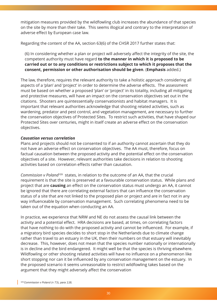mitigation measures provided by the wildfowling club increases the abundance of that species on the site by more than their take. This seems illogical and contrary to the interpretation of adverse effect by European case law.

Regarding the content of the AA, section 63(6) of the CHSR 2017 further states that:

(6) In considering whether a plan or project will adversely affect the integrity of the site, the competent authority must have regard **to the manner in which it is proposed to be carried out or to any conditions or restrictions subject to which it proposes that the consent, permission or other authorisation should be given**. (**Emphasis** added.)

The law, therefore, requires the relevant authority to take a holistic approach considering all aspects of a 'plan' and 'project' in order to determine the adverse effects. The assessment must be based on whether a proposed 'plan' or 'project' in its totality, including all mitigating and protective measures, will have an impact on the conservation objectives set out in the citations. Shooters are quintessentially conservationists and habitat managers. It is important that relevant authorities acknowledge that shooting related activities, such as wardening, predator and pest control, and vegetation management, are necessary to further the conservation objectives of Protected Sites. To restrict such activities, that have shaped our Protected Sites over centuries, might in itself create an adverse effect on the conservation objectives.

#### *Causation versus correlation*

Plans and projects should not be consented to if an authority cannot ascertain that they do not have an adverse effect on conservation objectives. The AA must, therefore, focus on factual causation between the proposed activity and the potential effect on the conservation objectives of a site. However, relevant authorities take decisions in relation to shooting activities based on correlation effects rather than causation.

*Commission v Poland*109 states, in relation to the outcome of an AA, that the crucial requirement is that the site is preserved at a favourable conservation status. While plans and project that are **causing** an effect on the conservation status must undergo an AA, it cannot be ignored that there are correlating external factors that can influence the conservation status of a site that are not linked to the proposed plan or project and are in fact not in any way influenceable by conservation management. Such correlating phenomena need to be taken out of the equation when conducting an AA.

In practice, we experience that NRW and NE do not assess the causal link between the activity and a potential effect. HRA decisions are based, at times, on correlating factors that have nothing to do with the proposed activity and cannot be influenced. For example, if a migratory bird species decides to short stop in the Netherlands due to climate change rather than travel to an estuary in the UK, then their numbers on that estuary will inevitably decrease. This, however, does not mean that the species number nationally or internationally is in decline and the bird endangered. It might well be that the species is thriving elsewhere. Wildfowling or other shooting related activities will have no influence on a phenomenon like short stopping nor can it be influenced by any conservation management on the estuary. In the proposed scenario it seems unreasonable to restrict wildfowling takes based on the argument that they might adversely affect the conservation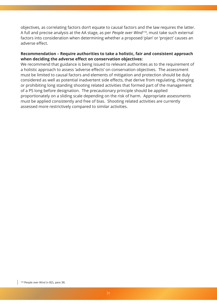objectives, as correlating factors don't equate to causal factors and the law requires the latter. A full and precise analysis at the AA stage, as per *People over Wind*110, must take such external factors into consideration when determining whether a proposed 'plan' or 'project' causes an adverse effect.

#### **Recommendation – Require authorities to take a holistic, fair and consistent approach when deciding the adverse effect on conservation objectives:**

We recommend that guidance is being issued to relevant authorities as to the requirement of a holistic approach to assess 'adverse effects' on conservation objectives. The assessment must be limited to causal factors and elements of mitigation and protection should be duly considered as well as potential inadvertent side effects, that derive from regulating, changing or prohibiting long standing shooting related activities that formed part of the management of a PS long before designation. The precautionary principle should be applied proportionately on a sliding scale depending on the risk of harm. Appropriate assessments must be applied consistently and free of bias. Shooting related activities are currently assessed more restrictively compared to similar activities.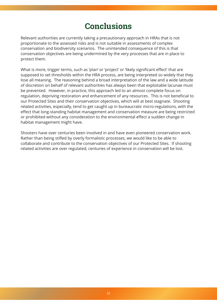## **Conclusions**

Relevant authorities are currently taking a precautionary approach in HRAs that is not proportionate to the assessed risks and is not suitable in assessments of complex conservation and biodiversity scenarios. The unintended consequence of this is that conservation objectives are being undermined by the very processes that are in place to protect them.

What is more, trigger terms, such as 'plan' or 'project' or 'likely significant effect' that are supposed to set thresholds within the HRA process, are being interpreted so widely that they lose all meaning. The reasoning behind a broad interpretation of the law and a wide latitude of discretion on behalf of relevant authorities has always been that exploitable lacunae must be prevented. However, in practice, this approach led to an almost complete focus on regulation, depriving restoration and enhancement of any resources. This is not beneficial to our Protected Sites and their conservation objectives, which will at best stagnate. Shooting related activities, especially, tend to get caught up in bureaucratic micro-regulations, with the effect that long-standing habitat management and conservation measure are being restricted or prohibited without any consideration to the environmental effect a sudden change in habitat management might have.

Shooters have over centuries been involved in and have even pioneered conservation work. Rather than being stifled by overly formalistic processes, we would like to be able to collaborate and contribute to the conservation objectives of our Protected Sites. If shooting related activities are over regulated, centuries of experience in conservation will be lost.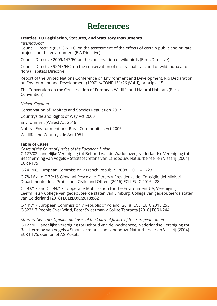# **References**

### **Treaties, EU Legislation, Statutes, and Statutory Instruments**

*International*

Council Directive (85/337/EEC) on the assessment of the effects of certain public and private projects on the environment (EIA Directive)

Council Directive 2009/147/EC on the conservation of wild birds (Birds Directive)

Council Directive 92/43/EEC on the conservation of natural habitats and of wild fauna and flora (Habitats Directive)

Report of the United Nations Conference on Environment and Development, Rio Declaration on Environment and Development (1992) A/CONF.151/26 (Vol. I), principle 15

The Convention on the Conservation of European Wildlife and Natural Habitats (Bern Convention)

#### *United Kingdom*

Conservation of Habitats and Species Regulation 2017 Countryside and Rights of Way Act 2000 Environment (Wales) Act 2016 Natural Environment and Rural Communities Act 2006 Wildlife and Countryside Act 1981

#### **Table of Cases**

*Cases of the Court of Justice of the European Union* C-127/02 Landelijke Vereniging tot Behoud van de Waddenzee, Nederlandse Vereniging tot Bescherming van Vogels v Staatssecretaris van Landbouw, Natuurbeheer en Visserij [2004] ECR I-175

C-241/08, European Commission v French Republic [2008] ECR I – 1723

C-78/16 and C-79/16 Giovanni Pesce and Others v Presidenza del Consiglio dei Ministri - Dipartimento della Protezione Civile and Others [2016] ECLI:EU:C:2016:428

C-293/17 and C-294/17 Coöperatie Mobilisation for the Environment UA, Vereniging Leefmilieu v College van gedeputeerde staten van Limburg, College van gedeputeerde staten van Gelderland [2018] ECLI:EU:C:2018:882

C-441/17 European Commission v Republic of Poland [2018] ECLI:EU:C:2018:255 C-323/17 People Over Wind, Peter Sweetman v Coillte Teoranta [2018] ECR I-244

### *Attorney General's Opinion on Cases of the Court of Justice of the European Union*

C-127/02 Landelijke Vereniging tot Behoud van de Waddenzee, Nederlandse Vereniging tot Bescherming van Vogels v Staatssecretaris van Landbouw, Natuurbeheer en Visserij [2004] ECR I-175, opinion of AG Kokott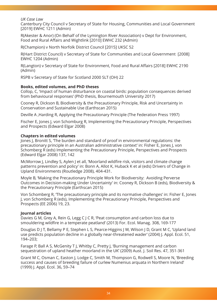#### *UK Case Law*

Canterbury City Council v Secretary of State for Housing, Communities and Local Government [2019] EWHC 1211 (Admin)

R(Akester & Anor) (On Behalf of the Lymington River Association) v Dept for Environment, Food and Rural Affairs and Wightlink [2010] EWHC 232 (Admin)

R(Champion) v North Norfolk District Council [2015] UKSC 52

R(Hart District Council) v Secretary of State for Communities and Local Government [2008] EWHC 1204 (Admin)

R(Langton) v Secretary of State for Environment, Food and Rural Affairs [2018] EWHC 2190 (Admin)

RSPB v Secretary of State for Scotland 2000 SLT (OH) 22

#### **Books, edited volumes, and PhD theses**

Collop, C, 'Impact of human disturbance on coastal birds: population consequences derived from behavioural responses' (PhD thesis, Bournemouth University 2017)

Cooney R, Dickson B, Biodiversity & the Precautionary Principle, Risk and Uncertainty in Conservation and Sustainable Use (Earthscan 2015)

Deville A ,Harding R, Applying the Precautionary Principle (The Federation Press 1997)

Fischer E, Jones J, von Schomburg R, Implementing the Precautionary Principle, Perspectives and Prospects (Edward Elgar 2008)

#### **Chapters in edited volumes**

Jones J, Bronitt S, 'The burden and standard of proof in environmental regulations: the precautionary principle in an Australian administrative context' in: Fisher E, Jones J, von Schomberg R (eds) Implementing the Precautionary Principle, Perspectives and Prospects (Edward Elgar 2008) 137, 142

McMorrow J, Lindley S, Aylen J et all, 'Moorland wildfire risk, visitors and climate change patterns prevention and policy' in: Bonn A, Allot K, Huback K et al (eds) Drivers of Change in Upland Environments (Routledge 2008), 404-431.

Moyle B, 'Making the Precautionary Principle Work for Biodiversity: Avoiding Perverse Outcomes in Decision-making Under Uncertainty' in: Cooney R, Dickson B (eds), Biodiversity & the Precautionary Principle (Earthscan 2015)

Von Schomberg R, 'The precautionary principle and its normative challenges' in: Fisher E, Jones J, von Schomberg R (eds), Implementing the Precautionary Principle, Perspectives and Prospects (EE 2006) 19, 23.

#### **Journal articles**

Davies G M, Grey A, Rein G, Legg C J C R, 'Peat consumption and carbon loss due to smouldering wildfire in a temperate peatland' (2013) For. Ecol. Manag. 308, 169-177

Douglas D J T, Bellamy P E, Stephen L S, Pearce-Higgins J W, Wilson J D, Grant M C, 'Upland land use predicts population decline in a globally near-threatened wader' (2004) J. Appl. Ecol. 51, 194–203;

Farage P, Ball A S, McGenity T J, Whitby C, Pretty J, 'Burning management and carbon sequestration of upland heather moorland in the UK' (2009) Aust. J. Soil Res. 47, 351-361

Grant M C, Osman C, Easton J, Lodge C, Smith M, Thompson G, Rodwell S, Moore N, 'Breeding success and causes of breeding failure of curlew Numenius arquata in Northern Ireland' (1999) J. Appl. Ecol. 36, 59–74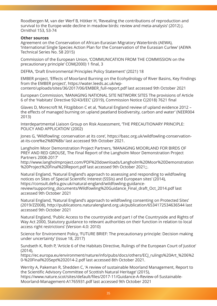Roodbergen M, van der Werf B, Hötker H, 'Revealing the contributions of reproduction and survival to the Europe-wide decline in meadow birds: review and meta-analysis' (2012) J. Ornithol 153, 53-74

#### **Other sources**

Agreement on the Conservation of African-Eurasian Migratory Waterbirds (AEWA), 'International Single Species Action Plan for the Conservation of the Eurasian Curlew' (AEWA Technical Series No. 58 2015)

Commission of the European Union, 'COMMUNICATION FROM THE COMMISSION on the precautionary principle' COM(2000) 1 final, 3

DEFRA, 'Draft Environmental Principles Policy Statement' (2021) 18

EMBER project, 'Effects of Moorland Burning on the Ecohydrology of River Basins, Key Findings from the EMBER project', https://water.leeds.ac.uk/wp-

content/uploads/sites/36/2017/06/EMBER\_full-report.pdf last accessed 9th October 2021

European Commission, 'MANAGING NATIONAL SITE NETWORK SITES The provisions of Article 6 of the 'Habitats' Directi[ve 92/43/EEC' \(2019\), Commiss](https://water.leeds.ac.uk/wp-content/uploads/sites/36/2017/06/EMBER_full-report.pdf)ion Notice C(2018) 7621 final

[Glaves D, Morecroft M, Fitzgibbon C et al, 'Natural England](https://water.leeds.ac.uk/wp-content/uploads/sites/36/2017/06/EMBER_full-report.pdf) review of upland evidence 2012 – the effects of managed burning on upland peatland biodiversity, carbon and water' (NEER004 2013)

Interdepartmental Liaison Group on Risk Assessment, 'THE PRECAUTIONARY PRINCIPLE: POLICY AND APPLICATION' (2002)

Jones G, 'Wildfowling: conservation at its core', https://basc.org.uk/wildfowling-conservationat-its-core%e2%80%8b/ last accessed 9th October 2021.

Langholm Moor Demonstration Project Partners, 'MANAGING MOORLAND FOR BIRDS OF PREY AND RED GROUSE, The Final Report of t[he Langholm Moor Demonstration Project](https://basc.org.uk/wildfowling-conservation-at-its-core%e2%80%8b/) [Partners 2008-2017'](https://basc.org.uk/wildfowling-conservation-at-its-core%e2%80%8b/) 

http://www.langholmproject.com/PDF%20downloads/Langholm%20Moor%20Demonstration %20Project%20Final%20Report.pdf last accessed 9th October 2021;;.

Natural England, 'Natural England's approach to assessing and responding to wildfowling [notices on Sites of Special Scientific Interest \(SSSIs\) and European sites' \(2014\),](http://www.langholmproject.com/PDF%20downloads/Langholm%20Moor%20Demonstration%20Project%20Final%20Report.pdf ) [https://consult.defra.gov.uk/natural-](http://www.langholmproject.com/PDF%20downloads/Langholm%20Moor%20Demonstration%20Project%20Final%20Report.pdf )england/wildfowling-guidancereview/supporting\_documents/Wildfowling%20Guidance\_Final\_draft\_Oct\_2014.pdf last accessed 9th October 2021

[Natural England, 'Natural England's approach to wildfowling consen](https://consult.defra.gov.uk/natural-england/wildfowling-guidance-review/supporting_documents/Wildfowling%20Guidance_Final_draft_Oct_2014.pdf)ting on Protected Sites' [\(2019/ZZ008\), http://publications.naturalengland.org.uk/publication/653417253463](https://consult.defra.gov.uk/natural-england/wildfowling-guidance-review/supporting_documents/Wildfowling%20Guidance_Final_draft_Oct_2014.pdf)6544 last accessed 9th October 2021

Natural England, 'Public Access to the countryside and part I of the Countryside and Rights of Way Act 2000, [Statutory guidance to relevant authorities on their function in relation to lo](http://publications.naturalengland.org.uk/publication/6534172534636544)cal access right restrictions' (Version 4.0: 2010)

Science for Environment Policy, 'FUTURE BRIEF: The precautionary principle: Decision making under uncertainty' (issue 18, 2017)

Sundseth K, Roth P, 'Article 6 of the Habitats Directive, Rulings of the European Court of Justice' (2014),

https://ec.europa.eu/environment/nature/info/pubs/docs/others/ECJ\_rulings%20Art\_%206%2 0-%20Final%20Sept%202014-2.pdf last accessed 8th October 2021.

Werrity A, Pakeman R, Shedden C, 'A review of sustainable Moorland Management, Report to [the Scientific Advisory Committee of Scottish Natural Heritage' \(2015\),](https://ec.europa.eu/environment/nature/info/pubs/docs/others/ECJ_rulings%20Art_%206%20-%20Final%20Sept%202014-2.pdf) [https://www.nature.scot/sites/defau](https://ec.europa.eu/environment/nature/info/pubs/docs/others/ECJ_rulings%20Art_%206%20-%20Final%20Sept%202014-2.pdf)lt/files/2017-11/Guidance-A-Review-of-Sustainable-Moorland-Management-A1765931.pdf last accessed 9th October 2021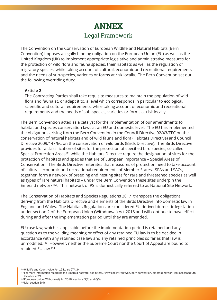### **ANNEX** Legal Framework

The Convention on the Conservation of European Wildlife and Natural Habitats (Bern Convention) imposes a legally binding obligation on the European Union (EU) as well as the United Kingdom (UK) to implement appropriate legislative and administrative measures for the protection of wild flora and fauna species, their habitats as well as the regulation of migratory species, while taking account of cultural, economic and recreational requirements and the needs of sub-species, varieties or forms at risk locally. The Bern Convention set out the following overriding duty:

#### **Article 2**

The Contracting Parties shall take requisite measures to maintain the population of wild flora and fauna at, or adapt it to, a level which corresponds in particular to ecological, scientific and cultural requirements, while taking account of economic and recreational requirements and the needs of sub-species, varieties or forms at risk locally.

The Bern Convention acted as a catalyst for the implementation of our amendments to habitat and species conservation laws at an EU and domestic level. The EU has implemented the obligations arising from the Bern Convention in the Council Directive 92/43/EEC on the conservation of natural habitats and of wild fauna and flora (Habitats Directive) and Council Directive 2009/147/EC on the conservation of wild birds (Birds Directive). The Birds Directive provides for a classification of sites for the protection of specified bird species, so called Special Protection Areas<sup>111</sup> while the Habitats Directive require the designation of sites for the protection of habitats and species that are of European importance – Special Areas of Conservation. The Birds Directive reiterates that measures of protection need to take account of cultural, economic and recreational requirements of Member States. SPAs and SACs, together, form a network of breeding and nesting sites for rare and threatened species as well as types of rare natural habitats – under the Bern Convention these sites underpin the Emerald network<sup>112</sup>. This network of PS is domestically referred to as National Site Network.

The Conservation of Habitats and Species Regulations 2017 transpose the obligations deriving from the Habitats Directive and elements of the Birds Directive into domestic law in England and Wales. The Habitats Regulations are considered EU derived domestic legislation under section 2 of the European Union (Withdrawal) Act 2018 and will continue to have effect during and after the implementation period until they are amended.

EU case law, which is applicable before the implementation period is retained and any question as to the validity, meaning or effect of any retained EU law is to be decided in accordance with any retained case law and any retained principles so far as that law is unmodified.113 However, neither the Supreme Court nor the Court of Appeal are bound to retained EU law.114

<sup>111</sup> Wildlife and Countryside Act 1981, ss 27A-34.

<sup>112</sup> For more information regarding the Emerald network, see https://www.coe.int/en/web/bern-convention/emerald-network last accessed 9th October 2021.

<sup>113</sup> European Union (Withdrawal) Act 2018, sections 3(2) and 6(3).

<sup>114</sup> ibid, section 6(4).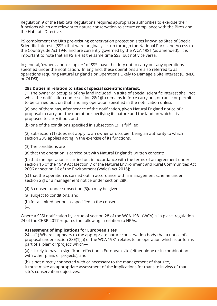Regulation 9 of the Habitats Regulations requires appropriate authorities to exercise their functions which are relevant to nature conservation to secure compliance with the Birds and the Habitats Directive.

PS complement the UK's pre-existing conservation protection sites known as Sites of Special Scientific Interests (SSSI) that were originally set up through the National Parks and Access to the Countryside Act 1946 and are currently governed by the WCA 1981 (as amended). It is important to note that all PS are at the same time SSSI but not vice versa.

In general, 'owners' and 'occupiers' of SSSI have the duty not to carry out any operations specified under the notification. In England, these operations are also referred to as operations requiring Natural England's or Operations Likely to Damage a Site Interest (ORNEC or OLDSI).

#### **28E Duties in relation to sites of special scientific interest.**

(1) The owner or occupier of any land included in a site of special scientific interest shall not while the notification under section 28(1)(b) remains in force carry out, or cause or permit to be carried out, on that land any operation specified in the notification unless—

(a) one of them has, after service of the notification, given Natural England notice of a proposal to carry out the operation specifying its nature and the land on which it is proposed to carry it out; and

(b) one of the conditions specified in subsection (3) is fulfilled.

(2) Subsection (1) does not apply to an owner or occupier being an authority to which section 28G applies acting in the exercise of its functions.

(3) The conditions are—

(a) that the operation is carried out with Natural England's written consent;

(b) that the operation is carried out in accordance with the terms of an agreement under section 16 of the 1949 Act [section 7 of the Natural Environment and Rural Communities Act 2006 or section 16 of the Environment (Wales) Act 2016];

(c) that the operation is carried out in accordance with a management scheme under section 28J or a management notice under section 28K.

(4) A consent under subsection (3)(a) may be given—

(a) subject to conditions, and

(b) for a limited period, as specified in the consent.

[…]

Where a SSSI notification by virtue of section 28 of the WCA 1981 (WCA) is in place, regulation 24 of the CHSR 2017 requires the following in relation to HRAs:

#### **Assessment of implications for European sites**

24.—(1) Where it appears to the appropriate nature conservation body that a notice of a proposal under section 28E(1)(a) of the WCA 1981 relates to an operation which is or forms part of a 'plan' or 'project' which—

(a) is likely to have a significant effect on a European site (either alone or in combination with other plans or projects), and

(b) is not directly connected with or necessary to the management of that site, it must make an appropriate assessment of the implications for that site in view of that site's conservation objectives.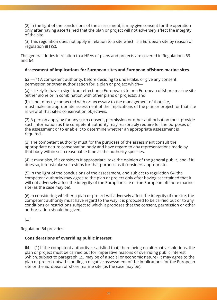(2) In the light of the conclusions of the assessment, it may give consent for the operation only after having ascertained that the plan or project will not adversely affect the integrity of the site.

(3) This regulation does not apply in relation to a site which is a European site by reason of regulation 8(1)(c).

The general duties in relation to a HRAs of plans and projects are covered in Regulations 63 and 64:

#### **Assessment of implications for European sites and European offshore marine sites**

63.—(1) A competent authority, before deciding to undertake, or give any consent, permission or other authorisation for, a plan or project which—

(a) is likely to have a significant effect on a European site or a European offshore marine site (either alone or in combination with other plans or projects), and

(b) is not directly connected with or necessary to the management of that site, must make an appropriate assessment of the implications of the plan or project for that site in view of that site's conservation objectives.

(2) A person applying for any such consent, permission or other authorisation must provide such information as the competent authority may reasonably require for the purposes of the assessment or to enable it to determine whether an appropriate assessment is required.

(3) The competent authority must for the purposes of the assessment consult the appropriate nature conservation body and have regard to any representations made by that body within such reasonable time as the authority specifies.

(4) It must also, if it considers it appropriate, take the opinion of the general public, and if it does so, it must take such steps for that purpose as it considers appropriate.

(5) In the light of the conclusions of the assessment, and subject to regulation 64, the competent authority may agree to the plan or project only after having ascertained that it will not adversely affect the integrity of the European site or the European offshore marine site (as the case may be).

(6) In considering whether a plan or project will adversely affect the integrity of the site, the competent authority must have regard to the way it is proposed to be carried out or to any conditions or restrictions subject to which it proposes that the consent, permission or other authorisation should be given.

 $\lceil \dots \rceil$ 

Regulation 64 provides:

#### **Considerations of overriding public interest**

**64.**—(1) If the competent authority is satisfied that, there being no alternative solutions, the plan or project must be carried out for imperative reasons of overriding public interest (which, subject to paragraph (2), may be of a social or economic nature), it may agree to the plan or project notwithstanding a negative assessment of the implications for the European site or the European offshore marine site (as the case may be).